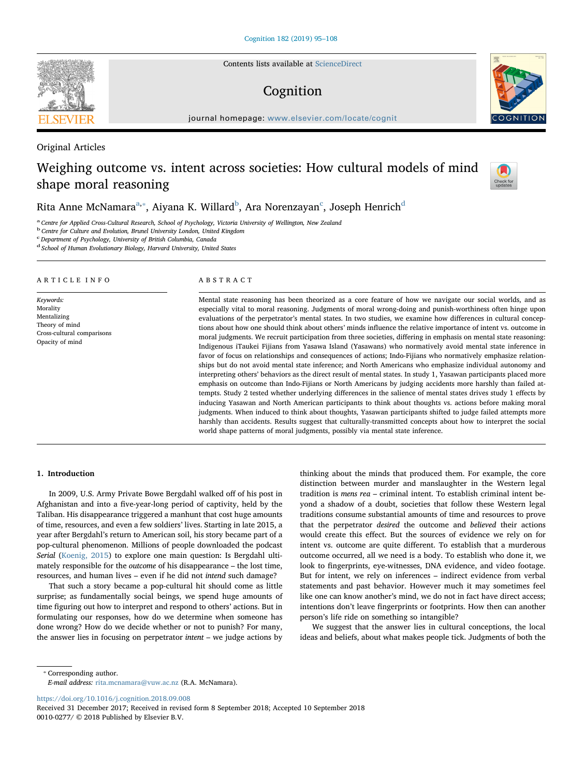Contents lists available at [ScienceDirect](http://www.sciencedirect.com/science/journal/00100277)

# Cognition

journal homepage: [www.elsevier.com/locate/cognit](https://www.elsevier.com/locate/cognit)

# Original Articles

# Weighing outcome vs. intent across societies: How cultural models of mind shape moral reasoning

# Rita Anne M[c](#page-0-3)Namara $^{\mathrm{a},*}$ , Aiyana K. Willar[d](#page-0-4) $^{\mathrm{b}}$  $^{\mathrm{b}}$  $^{\mathrm{b}}$ , Ara Norenzayan $^{\mathrm{c}}$ , Joseph Henrich $^{\mathrm{d}}$

<span id="page-0-0"></span><sup>a</sup> Centre for Applied Cross-Cultural Research, School of Psychology, Victoria University of Wellington, New Zealand

<span id="page-0-2"></span><sup>b</sup> Centre for Culture and Evolution, Brunel University London, United Kingdom

<span id="page-0-3"></span>c Department of Psychology, University of British Columbia, Canada

<span id="page-0-4"></span><sup>d</sup> School of Human Evolutionary Biology, Harvard University, United States

### ARTICLE INFO

Keywords: Morality Mentalizing Theory of mind Cross-cultural comparisons Opacity of mind

#### ABSTRACT

Mental state reasoning has been theorized as a core feature of how we navigate our social worlds, and as especially vital to moral reasoning. Judgments of moral wrong-doing and punish-worthiness often hinge upon evaluations of the perpetrator's mental states. In two studies, we examine how differences in cultural conceptions about how one should think about others' minds influence the relative importance of intent vs. outcome in moral judgments. We recruit participation from three societies, differing in emphasis on mental state reasoning: Indigenous iTaukei Fijians from Yasawa Island (Yasawans) who normatively avoid mental state inference in favor of focus on relationships and consequences of actions; Indo-Fijians who normatively emphasize relationships but do not avoid mental state inference; and North Americans who emphasize individual autonomy and interpreting others' behaviors as the direct result of mental states. In study 1, Yasawan participants placed more emphasis on outcome than Indo-Fijians or North Americans by judging accidents more harshly than failed attempts. Study 2 tested whether underlying differences in the salience of mental states drives study 1 effects by inducing Yasawan and North American participants to think about thoughts vs. actions before making moral judgments. When induced to think about thoughts, Yasawan participants shifted to judge failed attempts more harshly than accidents. Results suggest that culturally-transmitted concepts about how to interpret the social world shape patterns of moral judgments, possibly via mental state inference.

# 1. Introduction

In 2009, U.S. Army Private Bowe Bergdahl walked off of his post in Afghanistan and into a five-year-long period of captivity, held by the Taliban. His disappearance triggered a manhunt that cost huge amounts of time, resources, and even a few soldiers' lives. Starting in late 2015, a year after Bergdahl's return to American soil, his story became part of a pop-cultural phenomenon. Millions of people downloaded the podcast Serial ([Koenig, 2015\)](#page-12-0) to explore one main question: Is Bergdahl ultimately responsible for the outcome of his disappearance – the lost time, resources, and human lives – even if he did not intend such damage?

That such a story became a pop-cultural hit should come as little surprise; as fundamentally social beings, we spend huge amounts of time figuring out how to interpret and respond to others' actions. But in formulating our responses, how do we determine when someone has done wrong? How do we decide whether or not to punish? For many, the answer lies in focusing on perpetrator intent – we judge actions by

thinking about the minds that produced them. For example, the core distinction between murder and manslaughter in the Western legal tradition is mens rea – criminal intent. To establish criminal intent beyond a shadow of a doubt, societies that follow these Western legal traditions consume substantial amounts of time and resources to prove that the perpetrator desired the outcome and believed their actions would create this effect. But the sources of evidence we rely on for intent vs. outcome are quite different. To establish that a murderous outcome occurred, all we need is a body. To establish who done it, we look to fingerprints, eye-witnesses, DNA evidence, and video footage. But for intent, we rely on inferences – indirect evidence from verbal statements and past behavior. However much it may sometimes feel like one can know another's mind, we do not in fact have direct access; intentions don't leave fingerprints or footprints. How then can another person's life ride on something so intangible?

We suggest that the answer lies in cultural conceptions, the local ideas and beliefs, about what makes people tick. Judgments of both the

<span id="page-0-1"></span>⁎ Corresponding author.

<https://doi.org/10.1016/j.cognition.2018.09.008>







E-mail address: [rita.mcnamara@vuw.ac.nz](mailto:rita.mcnamara@vuw.ac.nz) (R.A. McNamara).

Received 31 December 2017; Received in revised form 8 September 2018; Accepted 10 September 2018 0010-0277/ © 2018 Published by Elsevier B.V.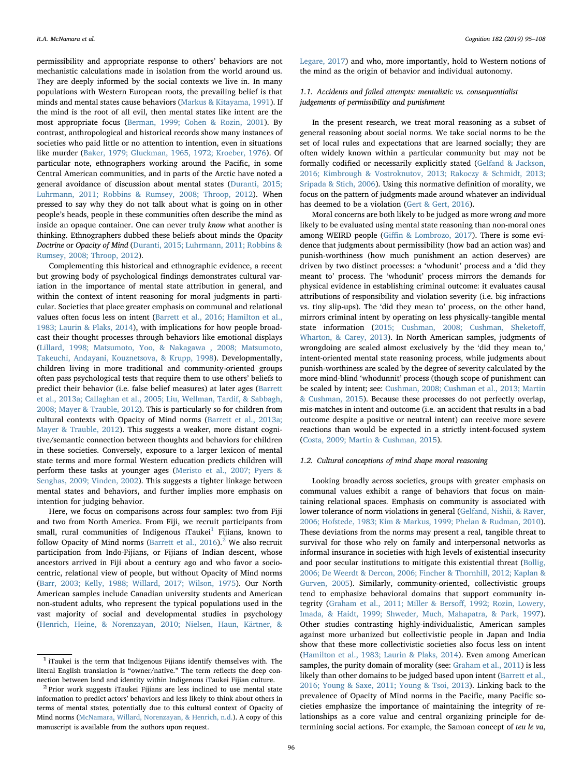permissibility and appropriate response to others' behaviors are not mechanistic calculations made in isolation from the world around us. They are deeply informed by the social contexts we live in. In many populations with Western European roots, the prevailing belief is that minds and mental states cause behaviors ([Markus & Kitayama, 1991](#page-12-1)). If the mind is the root of all evil, then mental states like intent are the most appropriate focus [\(Berman, 1999; Cohen & Rozin, 2001](#page-11-0)). By contrast, anthropological and historical records show many instances of societies who paid little or no attention to intention, even in situations like murder [\(Baker, 1979; Gluckman, 1965, 1972; Kroeber, 1976](#page-11-1)). Of particular note, ethnographers working around the Pacific, in some Central American communities, and in parts of the Arctic have noted a general avoidance of discussion about mental states ([Duranti, 2015;](#page-12-2) [Luhrmann, 2011; Robbins & Rumsey, 2008; Throop, 2012](#page-12-2)). When pressed to say why they do not talk about what is going on in other people's heads, people in these communities often describe the mind as inside an opaque container. One can never truly know what another is thinking. Ethnographers dubbed these beliefs about minds the Opacity Doctrine or Opacity of Mind [\(Duranti, 2015; Luhrmann, 2011; Robbins &](#page-12-2) [Rumsey, 2008; Throop, 2012\)](#page-12-2).

Complementing this historical and ethnographic evidence, a recent but growing body of psychological findings demonstrates cultural variation in the importance of mental state attribution in general, and within the context of intent reasoning for moral judgments in particular. Societies that place greater emphasis on communal and relational values often focus less on intent ([Barrett et al., 2016; Hamilton et al.,](#page-11-2) [1983; Laurin & Plaks, 2014\)](#page-11-2), with implications for how people broadcast their thought processes through behaviors like emotional displays ([Lillard, 1998; Matsumoto, Yoo, & Nakagawa , 2008; Matsumoto,](#page-12-3) [Takeuchi, Andayani, Kouznetsova, & Krupp, 1998](#page-12-3)). Developmentally, children living in more traditional and community-oriented groups often pass psychological tests that require them to use others' beliefs to predict their behavior (i.e. false belief measures) at later ages [\(Barrett](#page-11-3) [et al., 2013a; Callaghan et al., 2005; Liu, Wellman, Tardif, & Sabbagh,](#page-11-3) [2008; Mayer & Trauble, 2012](#page-11-3)). This is particularly so for children from cultural contexts with Opacity of Mind norms [\(Barrett et al., 2013a;](#page-11-3) [Mayer & Trauble, 2012](#page-11-3)). This suggests a weaker, more distant cognitive/semantic connection between thoughts and behaviors for children in these societies. Conversely, exposure to a larger lexicon of mental state terms and more formal Western education predicts children will perform these tasks at younger ages ([Meristo et al., 2007; Pyers &](#page-13-0) [Senghas, 2009; Vinden, 2002](#page-13-0)). This suggests a tighter linkage between mental states and behaviors, and further implies more emphasis on intention for judging behavior.

Here, we focus on comparisons across four samples: two from Fiji and two from North America. From Fiji, we recruit participants from small, rural communities of Indigenous iTaukei<sup>[1](#page-1-0)</sup> Fijians, known to follow Opacity of Mind norms (Barrett et al.,  $2016$  $2016$ ).<sup>2</sup> We also recruit participation from Indo-Fijians, or Fijians of Indian descent, whose ancestors arrived in Fiji about a century ago and who favor a sociocentric, relational view of people, but without Opacity of Mind norms ([Barr, 2003; Kelly, 1988; Willard, 2017; Wilson, 1975](#page-11-4)). Our North American samples include Canadian university students and American non-student adults, who represent the typical populations used in the vast majority of social and developmental studies in psychology ([Henrich, Heine, & Norenzayan, 2010; Nielsen, Haun, Kärtner, &](#page-12-4)

[Legare, 2017\)](#page-12-4) and who, more importantly, hold to Western notions of the mind as the origin of behavior and individual autonomy.

# 1.1. Accidents and failed attempts: mentalistic vs. consequentialist judgements of permissibility and punishment

In the present research, we treat moral reasoning as a subset of general reasoning about social norms. We take social norms to be the set of local rules and expectations that are learned socially; they are often widely known within a particular community but may not be formally codified or necessarily explicitly stated ([Gelfand & Jackson,](#page-12-5) [2016; Kimbrough & Vostroknutov, 2013; Rakoczy & Schmidt, 2013;](#page-12-5) [Sripada & Stich, 2006\)](#page-12-5). Using this normative definition of morality, we focus on the pattern of judgments made around whatever an individual has deemed to be a violation ([Gert & Gert, 2016\)](#page-12-6).

Moral concerns are both likely to be judged as more wrong and more likely to be evaluated using mental state reasoning than non-moral ones among WEIRD people (Giffi[n & Lombrozo, 2017\)](#page-12-7). There is some evidence that judgments about permissibility (how bad an action was) and punish-worthiness (how much punishment an action deserves) are driven by two distinct processes: a 'whodunit' process and a 'did they meant to' process. The 'whodunit' process mirrors the demands for physical evidence in establishing criminal outcome: it evaluates causal attributions of responsibility and violation severity (i.e. big infractions vs. tiny slip-ups). The 'did they mean to' process, on the other hand, mirrors criminal intent by operating on less physically-tangible mental state information ([2015; Cushman, 2008; Cushman, Sheketo](#page-12-8)ff, [Wharton, & Carey, 2013](#page-12-8)). In North American samples, judgments of wrongdoing are scaled almost exclusively by the 'did they mean to,' intent-oriented mental state reasoning process, while judgments about punish-worthiness are scaled by the degree of severity calculated by the more mind-blind 'whodunnit' process (though scope of punishment can be scaled by intent; see: [Cushman, 2008; Cushman et al., 2013; Martin](#page-12-9) [& Cushman, 2015](#page-12-9)). Because these processes do not perfectly overlap, mis-matches in intent and outcome (i.e. an accident that results in a bad outcome despite a positive or neutral intent) can receive more severe reactions than would be expected in a strictly intent-focused system ([Costa, 2009; Martin & Cushman, 2015\)](#page-12-10).

#### 1.2. Cultural conceptions of mind shape moral reasoning

Looking broadly across societies, groups with greater emphasis on communal values exhibit a range of behaviors that focus on maintaining relational spaces. Emphasis on community is associated with lower tolerance of norm violations in general [\(Gelfand, Nishii, & Raver,](#page-12-11) [2006; Hofstede, 1983; Kim & Markus, 1999; Phelan & Rudman, 2010](#page-12-11)). These deviations from the norms may present a real, tangible threat to survival for those who rely on family and interpersonal networks as informal insurance in societies with high levels of existential insecurity and poor secular institutions to mitigate this existential threat ([Bollig,](#page-11-5) [2006; De Weerdt & Dercon, 2006; Fincher & Thornhill, 2012; Kaplan &](#page-11-5) [Gurven, 2005](#page-11-5)). Similarly, community-oriented, collectivistic groups tend to emphasize behavioral domains that support community integrity [\(Graham et al., 2011; Miller & Berso](#page-12-12)ff, 1992; Rozin, Lowery, [Imada, & Haidt, 1999; Shweder, Much, Mahapatra, & Park, 1997](#page-12-12)). Other studies contrasting highly-individualistic, American samples against more urbanized but collectivistic people in Japan and India show that these more collectivistic societies also focus less on intent ([Hamilton et al., 1983; Laurin & Plaks, 2014](#page-12-13)). Even among American samples, the purity domain of morality (see: [Graham et al., 2011\)](#page-12-12) is less likely than other domains to be judged based upon intent ([Barrett et al.,](#page-11-2) [2016; Young & Saxe, 2011; Young & Tsoi, 2013\)](#page-11-2). Linking back to the prevalence of Opacity of Mind norms in the Pacific, many Pacific societies emphasize the importance of maintaining the integrity of relationships as a core value and central organizing principle for determining social actions. For example, the Samoan concept of teu le va,

<span id="page-1-0"></span> $1$  iTaukei is the term that Indigenous Fijians identify themselves with. The literal English translation is "owner/native." The term reflects the deep connection between land and identity within Indigenous iTaukei Fijian culture.<br><sup>2</sup> Prior work suggests iTaukei Fijians are less inclined to use mental state

<span id="page-1-1"></span>information to predict actors' behaviors and less likely to think about others in terms of mental states, potentially due to this cultural context of Opacity of Mind norms ([McNamara, Willard, Norenzayan, & Henrich, n.d.\)](#page-12-14). A copy of this manuscript is available from the authors upon request.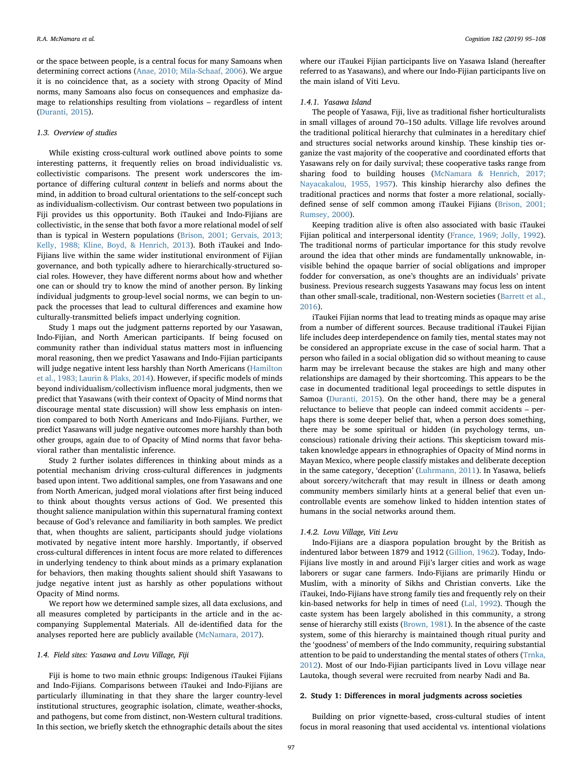or the space between people, is a central focus for many Samoans when determining correct actions ([Anae, 2010; Mila-Schaaf, 2006\)](#page-11-6). We argue it is no coincidence that, as a society with strong Opacity of Mind norms, many Samoans also focus on consequences and emphasize damage to relationships resulting from violations – regardless of intent ([Duranti, 2015](#page-12-2)).

# 1.3. Overview of studies

While existing cross-cultural work outlined above points to some interesting patterns, it frequently relies on broad individualistic vs. collectivistic comparisons. The present work underscores the importance of differing cultural content in beliefs and norms about the mind, in addition to broad cultural orientations to the self-concept such as individualism-collectivism. Our contrast between two populations in Fiji provides us this opportunity. Both iTaukei and Indo-Fijians are collectivistic, in the sense that both favor a more relational model of self than is typical in Western populations [\(Brison, 2001; Gervais, 2013;](#page-12-15) [Kelly, 1988; Kline, Boyd, & Henrich, 2013](#page-12-15)). Both iTaukei and Indo-Fijians live within the same wider institutional environment of Fijian governance, and both typically adhere to hierarchically-structured social roles. However, they have different norms about how and whether one can or should try to know the mind of another person. By linking individual judgments to group-level social norms, we can begin to unpack the processes that lead to cultural differences and examine how culturally-transmitted beliefs impact underlying cognition.

Study 1 maps out the judgment patterns reported by our Yasawan, Indo-Fijian, and North American participants. If being focused on community rather than individual status matters most in influencing moral reasoning, then we predict Yasawans and Indo-Fijian participants will judge negative intent less harshly than North Americans ([Hamilton](#page-12-13) [et al., 1983; Laurin & Plaks, 2014\)](#page-12-13). However, if specific models of minds beyond individualism/collectivism influence moral judgments, then we predict that Yasawans (with their context of Opacity of Mind norms that discourage mental state discussion) will show less emphasis on intention compared to both North Americans and Indo-Fijians. Further, we predict Yasawans will judge negative outcomes more harshly than both other groups, again due to of Opacity of Mind norms that favor behavioral rather than mentalistic inference.

Study 2 further isolates differences in thinking about minds as a potential mechanism driving cross-cultural differences in judgments based upon intent. Two additional samples, one from Yasawans and one from North American, judged moral violations after first being induced to think about thoughts versus actions of God. We presented this thought salience manipulation within this supernatural framing context because of God's relevance and familiarity in both samples. We predict that, when thoughts are salient, participants should judge violations motivated by negative intent more harshly. Importantly, if observed cross-cultural differences in intent focus are more related to differences in underlying tendency to think about minds as a primary explanation for behaviors, then making thoughts salient should shift Yasawans to judge negative intent just as harshly as other populations without Opacity of Mind norms.

We report how we determined sample sizes, all data exclusions, and all measures completed by participants in the article and in the accompanying Supplemental Materials. All de-identified data for the analyses reported here are publicly available ([McNamara, 2017](#page-13-1)).

# 1.4. Field sites: Yasawa and Lovu Village, Fiji

Fiji is home to two main ethnic groups: Indigenous iTaukei Fijians and Indo-Fijians. Comparisons between iTaukei and Indo-Fijians are particularly illuminating in that they share the larger country-level institutional structures, geographic isolation, climate, weather-shocks, and pathogens, but come from distinct, non-Western cultural traditions. In this section, we briefly sketch the ethnographic details about the sites

where our iTaukei Fijian participants live on Yasawa Island (hereafter referred to as Yasawans), and where our Indo-Fijian participants live on the main island of Viti Levu.

#### 1.4.1. Yasawa Island

The people of Yasawa, Fiji, live as traditional fisher horticulturalists in small villages of around 70–150 adults. Village life revolves around the traditional political hierarchy that culminates in a hereditary chief and structures social networks around kinship. These kinship ties organize the vast majority of the cooperative and coordinated efforts that Yasawans rely on for daily survival; these cooperative tasks range from sharing food to building houses ([McNamara & Henrich, 2017;](#page-13-2) [Nayacakalou, 1955, 1957](#page-13-2)). This kinship hierarchy also defines the traditional practices and norms that foster a more relational, sociallydefined sense of self common among iTaukei Fijians ([Brison, 2001;](#page-12-15) [Rumsey, 2000](#page-12-15)).

Keeping tradition alive is often also associated with basic iTaukei Fijian political and interpersonal identity [\(France, 1969; Jolly, 1992](#page-12-16)). The traditional norms of particular importance for this study revolve around the idea that other minds are fundamentally unknowable, invisible behind the opaque barrier of social obligations and improper fodder for conversation, as one's thoughts are an individuals' private business. Previous research suggests Yasawans may focus less on intent than other small-scale, traditional, non-Western societies [\(Barrett et al.,](#page-11-2) [2016\)](#page-11-2).

iTaukei Fijian norms that lead to treating minds as opaque may arise from a number of different sources. Because traditional iTaukei Fijian life includes deep interdependence on family ties, mental states may not be considered an appropriate excuse in the case of social harm. That a person who failed in a social obligation did so without meaning to cause harm may be irrelevant because the stakes are high and many other relationships are damaged by their shortcoming. This appears to be the case in documented traditional legal proceedings to settle disputes in Samoa ([Duranti, 2015](#page-12-2)). On the other hand, there may be a general reluctance to believe that people can indeed commit accidents – perhaps there is some deeper belief that, when a person does something, there may be some spiritual or hidden (in psychology terms, unconscious) rationale driving their actions. This skepticism toward mistaken knowledge appears in ethnographies of Opacity of Mind norms in Mayan Mexico, where people classify mistakes and deliberate deception in the same category, 'deception' ([Luhrmann, 2011\)](#page-12-17). In Yasawa, beliefs about sorcery/witchcraft that may result in illness or death among community members similarly hints at a general belief that even uncontrollable events are somehow linked to hidden intention states of humans in the social networks around them.

### 1.4.2. Lovu Village, Viti Levu

Indo-Fijians are a diaspora population brought by the British as indentured labor between 1879 and 1912 ([Gillion, 1962](#page-12-18)). Today, Indo-Fijians live mostly in and around Fiji's larger cities and work as wage laborers or sugar cane farmers. Indo-Fijians are primarily Hindu or Muslim, with a minority of Sikhs and Christian converts. Like the iTaukei, Indo-Fijians have strong family ties and frequently rely on their kin-based networks for help in times of need ([Lal, 1992](#page-12-19)). Though the caste system has been largely abolished in this community, a strong sense of hierarchy still exists [\(Brown, 1981\)](#page-12-20). In the absence of the caste system, some of this hierarchy is maintained though ritual purity and the 'goodness' of members of the Indo community, requiring substantial attention to be paid to understanding the mental states of others ([Trnka,](#page-13-3) [2012\)](#page-13-3). Most of our Indo-Fijian participants lived in Lovu village near Lautoka, though several were recruited from nearby Nadi and Ba.

#### 2. Study 1: Differences in moral judgments across societies

Building on prior vignette-based, cross-cultural studies of intent focus in moral reasoning that used accidental vs. intentional violations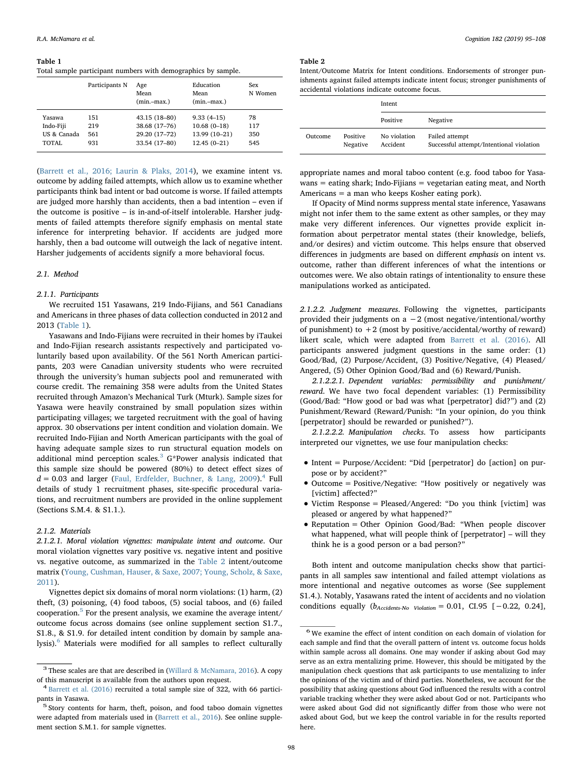<span id="page-3-0"></span>Table 1

Total sample participant numbers with demographics by sample.

|             | Participants N | Age<br>Mean<br>$(min - max.)$ | Education<br>Mean<br>$(min - max.)$ | Sex<br>N Women |
|-------------|----------------|-------------------------------|-------------------------------------|----------------|
| Yasawa      | 151            | 43.15 (18-80)                 | $9.33(4-15)$                        | 78             |
| Indo-Fiji   | 219            | 38.68 (17-76)                 | $10.68(0-18)$                       | 117            |
| US & Canada | 561            | 29.20 (17-72)                 | 13.99 (10-21)                       | 350            |
| TOTAL       | 931            | 33.54 (17-80)                 | $12.45(0-21)$                       | 545            |

([Barrett et al., 2016; Laurin & Plaks, 2014](#page-11-2)), we examine intent vs. outcome by adding failed attempts, which allow us to examine whether participants think bad intent or bad outcome is worse. If failed attempts are judged more harshly than accidents, then a bad intention – even if the outcome is positive – is in-and-of-itself intolerable. Harsher judgments of failed attempts therefore signify emphasis on mental state inference for interpreting behavior. If accidents are judged more harshly, then a bad outcome will outweigh the lack of negative intent. Harsher judgements of accidents signify a more behavioral focus.

# 2.1. Method

#### 2.1.1. Participants

We recruited 151 Yasawans, 219 Indo-Fijians, and 561 Canadians and Americans in three phases of data collection conducted in 2012 and 2013 [\(Table 1\)](#page-3-0).

Yasawans and Indo-Fijians were recruited in their homes by iTaukei and Indo-Fijian research assistants respectively and participated voluntarily based upon availability. Of the 561 North American participants, 203 were Canadian university students who were recruited through the university's human subjects pool and remunerated with course credit. The remaining 358 were adults from the United States recruited through Amazon's Mechanical Turk (Mturk). Sample sizes for Yasawa were heavily constrained by small population sizes within participating villages; we targeted recruitment with the goal of having approx. 30 observations per intent condition and violation domain. We recruited Indo-Fijian and North American participants with the goal of having adequate sample sizes to run structural equation models on additional mind perception scales. $3$  G\*Power analysis indicated that this sample size should be powered (80%) to detect effect sizes of  $d = 0.03$  and larger ([Faul, Erdfelder, Buchner, & Lang, 2009\)](#page-12-21).<sup>[4](#page-3-2)</sup> Full details of study 1 recruitment phases, site-specific procedural variations, and recruitment numbers are provided in the online supplement (Sections S.M.4. & S1.1.).

#### 2.1.2. Materials

2.1.2.1. Moral violation vignettes: manipulate intent and outcome. Our moral violation vignettes vary positive vs. negative intent and positive vs. negative outcome, as summarized in the [Table 2](#page-3-3) intent/outcome matrix ([Young, Cushman, Hauser, & Saxe, 2007; Young, Scholz, & Saxe,](#page-13-4) [2011\)](#page-13-4).

Vignettes depict six domains of moral norm violations: (1) harm, (2) theft, (3) poisoning, (4) food taboos, (5) social taboos, and (6) failed cooperation. $5$  For the present analysis, we examine the average intent/ outcome focus across domains (see online supplement section S1.7., S1.8., & S1.9. for detailed intent condition by domain by sample ana-lysis).<sup>[6](#page-3-5)</sup> Materials were modified for all samples to reflect culturally

#### <span id="page-3-3"></span>Table 2

Intent/Outcome Matrix for Intent conditions. Endorsements of stronger punishments against failed attempts indicate intent focus; stronger punishments of accidental violations indicate outcome focus.

|                |                      | Intent                   |                                                            |
|----------------|----------------------|--------------------------|------------------------------------------------------------|
|                |                      | Positive                 | Negative                                                   |
| <b>Outcome</b> | Positive<br>Negative | No violation<br>Accident | Failed attempt<br>Successful attempt/Intentional violation |

appropriate names and moral taboo content (e.g. food taboo for Yasawans = eating shark; Indo-Fijians = vegetarian eating meat, and North Americans = a man who keeps Kosher eating pork).

If Opacity of Mind norms suppress mental state inference, Yasawans might not infer them to the same extent as other samples, or they may make very different inferences. Our vignettes provide explicit information about perpetrator mental states (their knowledge, beliefs, and/or desires) and victim outcome. This helps ensure that observed differences in judgments are based on different emphasis on intent vs. outcome, rather than different inferences of what the intentions or outcomes were. We also obtain ratings of intentionality to ensure these manipulations worked as anticipated.

2.1.2.2. Judgment measures. Following the vignettes, participants provided their judgments on a  $-2$  (most negative/intentional/worthy of punishment) to  $+2$  (most by positive/accidental/worthy of reward) likert scale, which were adapted from [Barrett et al. \(2016\)](#page-11-2). All participants answered judgment questions in the same order: (1) Good/Bad, (2) Purpose/Accident, (3) Positive/Negative, (4) Pleased/ Angered, (5) Other Opinion Good/Bad and (6) Reward/Punish.

2.1.2.2.1. Dependent variables: permissibility and punishment/ reward. We have two focal dependent variables: (1) Permissibility (Good/Bad: "How good or bad was what [perpetrator] did?") and (2) Punishment/Reward (Reward/Punish: "In your opinion, do you think [perpetrator] should be rewarded or punished?").

2.1.2.2.2. Manipulation checks. To assess how participants interpreted our vignettes, we use four manipulation checks:

- Intent = Purpose/Accident: "Did [perpetrator] do [action] on purpose or by accident?"
- Outcome = Positive/Negative: "How positively or negatively was [victim] affected?"
- Victim Response = Pleased/Angered: "Do you think [victim] was pleased or angered by what happened?"
- Reputation = Other Opinion Good/Bad: "When people discover what happened, what will people think of [perpetrator] – will they think he is a good person or a bad person?"

Both intent and outcome manipulation checks show that participants in all samples saw intentional and failed attempt violations as more intentional and negative outcomes as worse (See supplement S1.4.). Notably, Yasawans rated the intent of accidents and no violation conditions equally  $(b_{\text{Accidents-No}}$   $_{\text{Volation}} = 0.01, \text{ CI.95 } [-0.22, 0.24],$ 

<span id="page-3-1"></span> $^3$  These scales are that are described in [\(Willard & McNamara, 2016\)](#page-13-5). A copy of this manuscript is available from the authors upon request. <sup>4</sup> [Barrett et al. \(2016\)](#page-11-2) recruited a total sample size of 322, with 66 partici-

<span id="page-3-2"></span>

<span id="page-3-4"></span>pants in Yasawa. <sup>5</sup> Story contents for harm, theft, poison, and food taboo domain vignettes were adapted from materials used in [\(Barrett et al., 2016\)](#page-11-2). See online supplement section S.M.1. for sample vignettes.

<span id="page-3-5"></span><sup>6</sup> We examine the effect of intent condition on each domain of violation for each sample and find that the overall pattern of intent vs. outcome focus holds within sample across all domains. One may wonder if asking about God may serve as an extra mentalizing prime. However, this should be mitigated by the manipulation check questions that ask participants to use mentalizing to infer the opinions of the victim and of third parties. Nonetheless, we account for the possibility that asking questions about God influenced the results with a control variable tracking whether they were asked about God or not. Participants who were asked about God did not significantly differ from those who were not asked about God, but we keep the control variable in for the results reported here.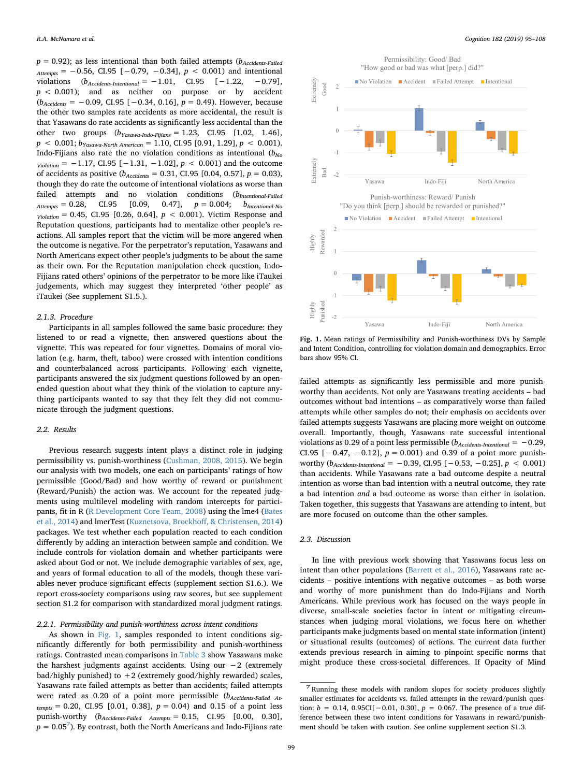$p = 0.92$ ); as less intentional than both failed attempts ( $b_{\text{Accidents-Failed}}$  $_{Attemps} = -0.56, CI.95 [-0.79, -0.34], p < 0.001$  and intentional violations  $(b_{\text{Accidents-Intentional}} = -1.01, \quad \text{CI.95} \quad [-1.22, \quad -0.79],$  $p < 0.001$ ); and as neither on purpose or by accident  $(b_{\text{Accidents}} = -0.09, \text{ CI.95 } [-0.34, 0.16], p = 0.49)$ . However, because the other two samples rate accidents as more accidental, the result is that Yasawans do rate accidents as significantly less accidental than the other two groups  $(b_{Yasawa-Indo-Fijians} = 1.23, CI.95 [1.02, 1.46],$  $p < 0.001$ ;  $b_{Yasawa-North American} = 1.10$ , CI.95 [0.91, 1.29],  $p < 0.001$ ). Indo-Fijians also rate the no violation conditions as intentional  $(b_{N_0})$  $_{violation}$  = -1.17, CI.95 [-1.31, -1.02],  $p$  < 0.001) and the outcome of accidents as positive ( $b_{\text{Accidents}} = 0.31$ , CI.95 [0.04, 0.57],  $p = 0.03$ ), though they do rate the outcome of intentional violations as worse than failed attempts and no violation conditions  $(b_{\text{International-Failed} A \text{ttempts}} = 0.28, \quad \text{CI.95} \quad [0.09, \quad 0.47], \quad p = 0.004; \quad b_{\text{International-No}}$ CI.95  $[0.09, 0.47], p = 0.004; b$ <sub>Intentional-No</sub>  $V_{\text{iolation}} = 0.45, \text{ CI.95} [0.26, 0.64], p < 0.001$ . Victim Response and Reputation questions, participants had to mentalize other people's reactions. All samples report that the victim will be more angered when the outcome is negative. For the perpetrator's reputation, Yasawans and North Americans expect other people's judgments to be about the same as their own. For the Reputation manipulation check question, Indo-Fijians rated others' opinions of the perpetrator to be more like iTaukei judgements, which may suggest they interpreted 'other people' as iTaukei (See supplement S1.5.).

#### 2.1.3. Procedure

Participants in all samples followed the same basic procedure: they listened to or read a vignette, then answered questions about the vignette. This was repeated for four vignettes. Domains of moral violation (e.g. harm, theft, taboo) were crossed with intention conditions and counterbalanced across participants. Following each vignette, participants answered the six judgment questions followed by an openended question about what they think of the violation to capture anything participants wanted to say that they felt they did not communicate through the judgment questions.

# 2.2. Results

Previous research suggests intent plays a distinct role in judging permissibility vs. punish-worthiness ([Cushman, 2008, 2015\)](#page-12-9). We begin our analysis with two models, one each on participants' ratings of how permissible (Good/Bad) and how worthy of reward or punishment (Reward/Punish) the action was. We account for the repeated judgments using multilevel modeling with random intercepts for participants, fit in R ([R Development Core Team, 2008](#page-13-6)) using the lme4 [\(Bates](#page-11-7) [et al., 2014\)](#page-11-7) and lmerTest (Kuznetsova, Brockhoff[, & Christensen, 2014\)](#page-12-22) packages. We test whether each population reacted to each condition differently by adding an interaction between sample and condition. We include controls for violation domain and whether participants were asked about God or not. We include demographic variables of sex, age, and years of formal education to all of the models, though these variables never produce significant effects (supplement section S1.6.). We report cross-society comparisons using raw scores, but see supplement section S1.2 for comparison with standardized moral judgment ratings.

# 2.2.1. Permissibility and punish-worthiness across intent conditions

As shown in [Fig. 1,](#page-4-0) samples responded to intent conditions significantly differently for both permissibility and punish-worthiness ratings. Contrasted mean comparisons in [Table 3](#page-5-0) show Yasawans make the harshest judgments against accidents. Using our −2 (extremely bad/highly punished) to  $+2$  (extremely good/highly rewarded) scales, Yasawans rate failed attempts as better than accidents; failed attempts were rated as 0.20 of a point more permissible  $(b_{\text{Accidents-Failed At}})$  $t_{\text{empts}} = 0.20$ , CI.95 [0.01, 0.38],  $p = 0.04$ ) and 0.15 of a point less punish-worthy  $(b_{\text{Accidents-Failed} \text{ Attemps}} = 0.15, \text{ CI.95} [0.00, 0.30],$  $p = 0.05<sup>7</sup>$  $p = 0.05<sup>7</sup>$  $p = 0.05<sup>7</sup>$ ). By contrast, both the North Americans and Indo-Fijians rate

<span id="page-4-0"></span>

Fig. 1. Mean ratings of Permissibility and Punish-worthiness DVs by Sample and Intent Condition, controlling for violation domain and demographics. Error bars show 95% CI.

failed attempts as significantly less permissible and more punishworthy than accidents. Not only are Yasawans treating accidents – bad outcomes without bad intentions – as comparatively worse than failed attempts while other samples do not; their emphasis on accidents over failed attempts suggests Yasawans are placing more weight on outcome overall. Importantly, though, Yasawans rate successful intentional violations as 0.29 of a point less permissible ( $b_{\text{Accidents-International}} = -0.29$ , CI.95  $[-0.47, -0.12]$ ,  $p = 0.001$ ) and 0.39 of a point more punishworthy  $(b_{\text{Accidents-International}} = -0.39, \text{ CI}.95 [-0.53, -0.25], p < 0.001)$ than accidents. While Yasawans rate a bad outcome despite a neutral intention as worse than bad intention with a neutral outcome, they rate a bad intention and a bad outcome as worse than either in isolation. Taken together, this suggests that Yasawans are attending to intent, but are more focused on outcome than the other samples.

# 2.3. Discussion

In line with previous work showing that Yasawans focus less on intent than other populations [\(Barrett et al., 2016\)](#page-11-2), Yasawans rate accidents – positive intentions with negative outcomes – as both worse and worthy of more punishment than do Indo-Fijians and North Americans. While previous work has focused on the ways people in diverse, small-scale societies factor in intent or mitigating circumstances when judging moral violations, we focus here on whether participants make judgments based on mental state information (intent) or situational results (outcomes) of actions. The current data further extends previous research in aiming to pinpoint specific norms that might produce these cross-societal differences. If Opacity of Mind

<span id="page-4-1"></span><sup>7</sup> Running these models with random slopes for society produces slightly smaller estimates for accidents vs. failed attempts in the reward/punish question:  $b = 0.14, 0.95CI[-0.01, 0.30], p = 0.067$ . The presence of a true difference between these two intent conditions for Yasawans in reward/punishment should be taken with caution. See online supplement section S1.3.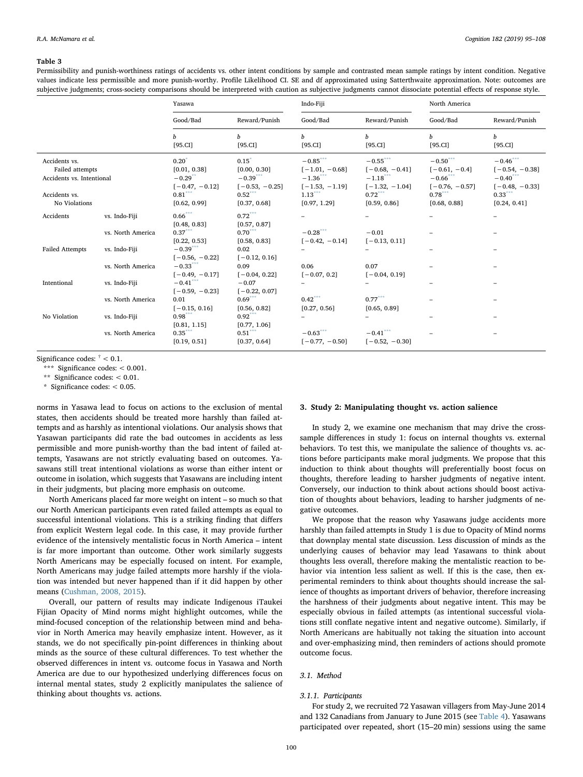#### <span id="page-5-0"></span>Table 3

Permissibility and punish-worthiness ratings of accidents vs. other intent conditions by sample and contrasted mean sample ratings by intent condition. Negative values indicate less permissible and more punish-worthy. Profile Likelihood CI. SE and df approximated using Satterthwaite approximation. Note: outcomes are subjective judgments; cross-society comparisons should be interpreted with caution as subjective judgments cannot dissociate potential effects of response style.

|                                                                                                 |                   | Yasawa                                                                                                        |                                                                                         | Indo-Fiji                                                                                      |                                                                                               | North America                                                                                 |                                                                                                |
|-------------------------------------------------------------------------------------------------|-------------------|---------------------------------------------------------------------------------------------------------------|-----------------------------------------------------------------------------------------|------------------------------------------------------------------------------------------------|-----------------------------------------------------------------------------------------------|-----------------------------------------------------------------------------------------------|------------------------------------------------------------------------------------------------|
|                                                                                                 |                   | Good/Bad                                                                                                      | Reward/Punish                                                                           | Good/Bad                                                                                       | Reward/Punish                                                                                 | Good/Bad                                                                                      | Reward/Punish                                                                                  |
|                                                                                                 |                   | b<br>[95.CI]                                                                                                  | b<br>[95.CI]                                                                            | h<br>[95.CII]                                                                                  | b<br>[95.CI]                                                                                  | b<br>[95.CI]                                                                                  | b<br>[95.CI]                                                                                   |
| Accidents vs.<br>Failed attempts<br>Accidents vs. Intentional<br>Accidents vs.<br>No Violations |                   | $0.20$ <sup>*</sup><br>[0.01, 0.38]<br>$-0.29$ <sup>**</sup><br>$[-0.47, -0.12]$<br>$0.81***$<br>[0.62, 0.99] | $0.15^*$<br>[0.00, 0.30]<br>$-0.39***$<br>$[-0.53, -0.25]$<br>$0.52***$<br>[0.37, 0.68] | $-0.85***$<br>$[-1.01, -0.68]$<br>$-1.36$ ***<br>$[-1.53, -1.19]$<br>$1.13***$<br>[0.97, 1.29] | $-0.55***$<br>$[-0.68, -0.41]$<br>$-1.18***$<br>$[-1.32, -1.04]$<br>$0.72***$<br>[0.59, 0.86] | $-0.50***$<br>$[-0.61, -0.4]$<br>$-0.66$ ***<br>$[-0.76, -0.57]$<br>$0.78***$<br>[0.68, 0.88] | $-0.46***$<br>$[-0.54, -0.38]$<br>$-0.40$ ***<br>$[-0.48, -0.33]$<br>$0.33***$<br>[0.24, 0.41] |
| Accidents                                                                                       | vs. Indo-Fiji     | $0.66***$<br>[0.48, 0.83]                                                                                     | $0.72***$<br>[0.57, 0.87]                                                               |                                                                                                |                                                                                               |                                                                                               |                                                                                                |
|                                                                                                 | vs. North America | $0.37***$<br>[0.22, 0.53]                                                                                     | $0.70***$<br>[0.58, 0.83]                                                               | $-0.28***$<br>$[-0.42, -0.14]$                                                                 | $-0.01$<br>$[-0.13, 0.11]$                                                                    |                                                                                               |                                                                                                |
| <b>Failed Attempts</b>                                                                          | vs. Indo-Fiji     | $-0.39***$<br>$[-0.56, -0.22]$                                                                                | 0.02<br>$[-0.12, 0.16]$                                                                 |                                                                                                |                                                                                               |                                                                                               |                                                                                                |
|                                                                                                 | vs. North America | $-0.33***$<br>$[-0.49, -0.17]$                                                                                | 0.09<br>$[-0.04, 0.22]$                                                                 | 0.06<br>$[-0.07, 0.2]$                                                                         | 0.07<br>$[-0.04, 0.19]$                                                                       |                                                                                               | -                                                                                              |
| Intentional                                                                                     | vs. Indo-Fiji     | $-0.41***$<br>$[-0.59, -0.23]$                                                                                | $-0.07$<br>$[-0.22, 0.07]$                                                              | ÷,                                                                                             |                                                                                               |                                                                                               |                                                                                                |
|                                                                                                 | vs. North America | 0.01<br>$[-0.15, 0.16]$                                                                                       | $0.69***$<br>[0.56, 0.82]                                                               | $0.42***$<br>[0.27, 0.56]                                                                      | $0.77***$<br>[0.65, 0.89]                                                                     |                                                                                               | $\overline{\phantom{0}}$                                                                       |
| No Violation                                                                                    | vs. Indo-Fiji     | $0.98***$<br>[0.81, 1.15]                                                                                     | $0.92***$<br>[0.77, 1.06]                                                               |                                                                                                |                                                                                               |                                                                                               |                                                                                                |
|                                                                                                 | vs. North America | $0.35***$<br>[0.19, 0.51]                                                                                     | $0.51***$<br>[0.37, 0.64]                                                               | $-0.63***$<br>$[-0.77, -0.50]$                                                                 | $-0.41***$<br>$[-0.52, -0.30]$                                                                |                                                                                               |                                                                                                |

Significance codes:  $^\dagger$  < 0.1.

<span id="page-5-2"></span>\*\*\* Significance codes: < 0.001.

<span id="page-5-3"></span>\*\* Significance codes: < 0.01.

<span id="page-5-1"></span>\* Significance codes: < 0.05.

norms in Yasawa lead to focus on actions to the exclusion of mental states, then accidents should be treated more harshly than failed attempts and as harshly as intentional violations. Our analysis shows that Yasawan participants did rate the bad outcomes in accidents as less permissible and more punish-worthy than the bad intent of failed attempts, Yasawans are not strictly evaluating based on outcomes. Yasawans still treat intentional violations as worse than either intent or outcome in isolation, which suggests that Yasawans are including intent in their judgments, but placing more emphasis on outcome.

North Americans placed far more weight on intent – so much so that our North American participants even rated failed attempts as equal to successful intentional violations. This is a striking finding that differs from explicit Western legal code. In this case, it may provide further evidence of the intensively mentalistic focus in North America – intent is far more important than outcome. Other work similarly suggests North Americans may be especially focused on intent. For example, North Americans may judge failed attempts more harshly if the violation was intended but never happened than if it did happen by other means ([Cushman, 2008, 2015](#page-12-9)).

Overall, our pattern of results may indicate Indigenous iTaukei Fijian Opacity of Mind norms might highlight outcomes, while the mind-focused conception of the relationship between mind and behavior in North America may heavily emphasize intent. However, as it stands, we do not specifically pin-point differences in thinking about minds as the source of these cultural differences. To test whether the observed differences in intent vs. outcome focus in Yasawa and North America are due to our hypothesized underlying differences focus on internal mental states, study 2 explicitly manipulates the salience of thinking about thoughts vs. actions.

# 3. Study 2: Manipulating thought vs. action salience

In study 2, we examine one mechanism that may drive the crosssample differences in study 1: focus on internal thoughts vs. external behaviors. To test this, we manipulate the salience of thoughts vs. actions before participants make moral judgments. We propose that this induction to think about thoughts will preferentially boost focus on thoughts, therefore leading to harsher judgments of negative intent. Conversely, our induction to think about actions should boost activation of thoughts about behaviors, leading to harsher judgments of negative outcomes.

We propose that the reason why Yasawans judge accidents more harshly than failed attempts in Study 1 is due to Opacity of Mind norms that downplay mental state discussion. Less discussion of minds as the underlying causes of behavior may lead Yasawans to think about thoughts less overall, therefore making the mentalistic reaction to behavior via intention less salient as well. If this is the case, then experimental reminders to think about thoughts should increase the salience of thoughts as important drivers of behavior, therefore increasing the harshness of their judgments about negative intent. This may be especially obvious in failed attempts (as intentional successful violations still conflate negative intent and negative outcome). Similarly, if North Americans are habitually not taking the situation into account and over-emphasizing mind, then reminders of actions should promote outcome focus.

#### 3.1. Method

#### 3.1.1. Participants

For study 2, we recruited 72 Yasawan villagers from May-June 2014 and 132 Canadians from January to June 2015 (see [Table 4](#page-6-0)). Yasawans participated over repeated, short (15–20 min) sessions using the same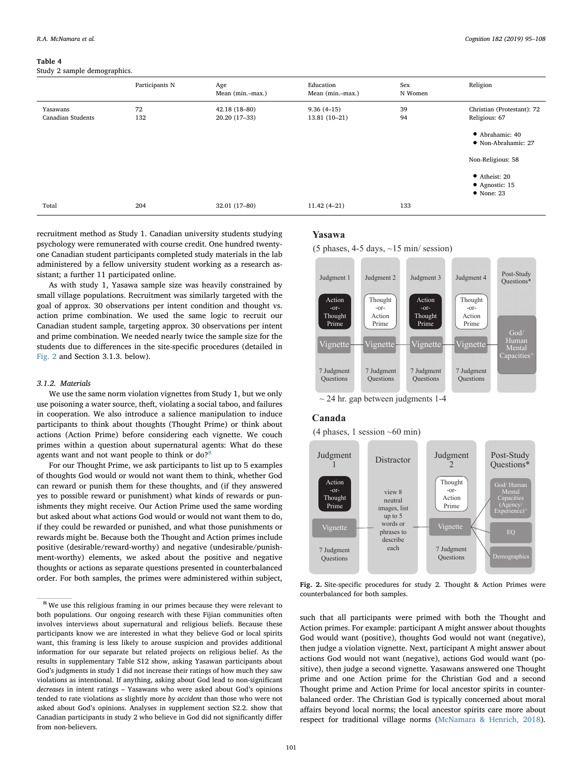#### <span id="page-6-0"></span>Table 4

Study 2 sample demographics.

|                               | Participants N | Age<br>Mean (min.-max.)        | Education<br>Mean (min.-max.)  | Sex<br>N Women | Religion                                                      |
|-------------------------------|----------------|--------------------------------|--------------------------------|----------------|---------------------------------------------------------------|
| Yasawans<br>Canadian Students | 72<br>132      | 42.18 (18-80)<br>20.20 (17-33) | $9.36(4-15)$<br>$13.81(10-21)$ | 39<br>94       | Christian (Protestant): 72<br>Religious: 67                   |
|                               |                |                                |                                |                | • Abrahamic: 40<br>• Non-Abrahamic: 27                        |
|                               |                |                                |                                |                | Non-Religious: 58                                             |
|                               |                |                                |                                |                | $\bullet$ Atheist: 20<br>• Agnostic: 15<br>$\bullet$ None: 23 |
| Total                         | 204            | 32.01 (17-80)                  | $11.42(4-21)$                  | 133            |                                                               |

recruitment method as Study 1. Canadian university students studying psychology were remunerated with course credit. One hundred twentyone Canadian student participants completed study materials in the lab administered by a fellow university student working as a research assistant; a further 11 participated online.

As with study 1, Yasawa sample size was heavily constrained by small village populations. Recruitment was similarly targeted with the goal of approx. 30 observations per intent condition and thought vs. action prime combination. We used the same logic to recruit our Canadian student sample, targeting approx. 30 observations per intent and prime combination. We needed nearly twice the sample size for the students due to differences in the site-specific procedures (detailed in [Fig. 2](#page-6-1) and Section 3.1.3. below).

# 3.1.2. Materials

We use the same norm violation vignettes from Study 1, but we only use poisoning a water source, theft, violating a social taboo, and failures in cooperation. We also introduce a salience manipulation to induce participants to think about thoughts (Thought Prime) or think about actions (Action Prime) before considering each vignette. We couch primes within a question about supernatural agents: What do these agents want and not want people to think or do?<sup>[8](#page-6-2)</sup>

For our Thought Prime, we ask participants to list up to 5 examples of thoughts God would or would not want them to think, whether God can reward or punish them for these thoughts, and (if they answered yes to possible reward or punishment) what kinds of rewards or punishments they might receive. Our Action Prime used the same wording but asked about what actions God would or would not want them to do, if they could be rewarded or punished, and what those punishments or rewards might be. Because both the Thought and Action primes include positive (desirable/reward-worthy) and negative (undesirable/punishment-worthy) elements, we asked about the positive and negative thoughts or actions as separate questions presented in counterbalanced order. For both samples, the primes were administered within subject,

# <span id="page-6-1"></span>**Yasawa**





 $\sim$  24 hr. gap between judgments 1-4

# **Canada**

 $(4$  phases, 1 session ~60 min)



Fig. 2. Site-specific procedures for study 2. Thought & Action Primes were counterbalanced for both samples.

such that all participants were primed with both the Thought and Action primes. For example: participant A might answer about thoughts God would want (positive), thoughts God would not want (negative), then judge a violation vignette. Next, participant A might answer about actions God would not want (negative), actions God would want (positive), then judge a second vignette. Yasawans answered one Thought prime and one Action prime for the Christian God and a second Thought prime and Action Prime for local ancestor spirits in counterbalanced order. The Christian God is typically concerned about moral affairs beyond local norms; the local ancestor spirits care more about respect for traditional village norms ([McNamara & Henrich, 2018](#page-13-7)).

<span id="page-6-2"></span><sup>8</sup> We use this religious framing in our primes because they were relevant to both populations. Our ongoing research with these Fijian communities often involves interviews about supernatural and religious beliefs. Because these participants know we are interested in what they believe God or local spirits want, this framing is less likely to arouse suspicion and provides additional information for our separate but related projects on religious belief. As the results in supplementary Table S12 show, asking Yasawan participants about God's judgments in study 1 did not increase their ratings of how much they saw violations as intentional. If anything, asking about God lead to non-significant decreases in intent ratings – Yasawans who were asked about God's opinions tended to rate violations as slightly more by accident than those who were not asked about God's opinions. Analyses in supplement section S2.2. show that Canadian participants in study 2 who believe in God did not significantly differ from non-believers.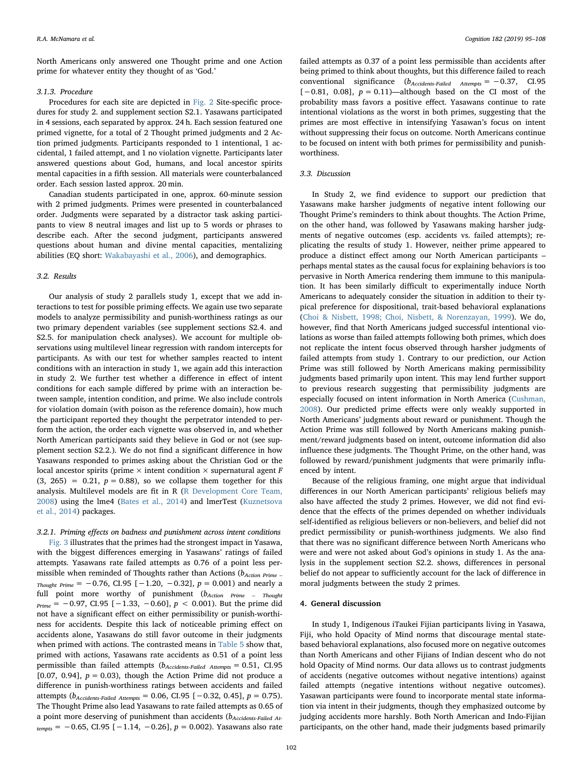North Americans only answered one Thought prime and one Action prime for whatever entity they thought of as 'God.'

# 3.1.3. Procedure

Procedures for each site are depicted in [Fig. 2](#page-6-1) Site-specific procedures for study 2. and supplement section S2.1. Yasawans participated in 4 sessions, each separated by approx. 24 h. Each session featured one primed vignette, for a total of 2 Thought primed judgments and 2 Action primed judgments. Participants responded to 1 intentional, 1 accidental, 1 failed attempt, and 1 no violation vignette. Participants later answered questions about God, humans, and local ancestor spirits mental capacities in a fifth session. All materials were counterbalanced order. Each session lasted approx. 20 min.

Canadian students participated in one, approx. 60-minute session with 2 primed judgments. Primes were presented in counterbalanced order. Judgments were separated by a distractor task asking participants to view 8 neutral images and list up to 5 words or phrases to describe each. After the second judgment, participants answered questions about human and divine mental capacities, mentalizing abilities (EQ short: [Wakabayashi et al., 2006](#page-13-8)), and demographics.

# 3.2. Results

Our analysis of study 2 parallels study 1, except that we add interactions to test for possible priming effects. We again use two separate models to analyze permissibility and punish-worthiness ratings as our two primary dependent variables (see supplement sections S2.4. and S2.5. for manipulation check analyses). We account for multiple observations using multilevel linear regression with random intercepts for participants. As with our test for whether samples reacted to intent conditions with an interaction in study 1, we again add this interaction in study 2. We further test whether a difference in effect of intent conditions for each sample differed by prime with an interaction between sample, intention condition, and prime. We also include controls for violation domain (with poison as the reference domain), how much the participant reported they thought the perpetrator intended to perform the action, the order each vignette was observed in, and whether North American participants said they believe in God or not (see supplement section S2.2.). We do not find a significant difference in how Yasawans responded to primes asking about the Christian God or the local ancestor spirits (prime  $\times$  intent condition  $\times$  supernatural agent F  $(3, 265) = 0.21$ ,  $p = 0.88$ ), so we collapse them together for this analysis. Multilevel models are fit in R ([R Development Core Team,](#page-13-6) [2008\)](#page-13-6) using the lme4 [\(Bates et al., 2014](#page-11-7)) and lmerTest [\(Kuznetsova](#page-12-22) [et al., 2014](#page-12-22)) packages.

#### 3.2.1. Priming effects on badness and punishment across intent conditions

[Fig. 3](#page-8-0) illustrates that the primes had the strongest impact in Yasawa, with the biggest differences emerging in Yasawans' ratings of failed attempts. Yasawans rate failed attempts as 0.76 of a point less permissible when reminded of Thoughts rather than Actions ( $b_{Action\ Prime}$  – Thought Prime =  $-0.76$ , CI.95 [ $-1.20$ ,  $-0.32$ ],  $p = 0.001$ ) and nearly a full point more worthy of punishment  $(b_{Action}$   $Prime = Thought$  $p_{\text{rime}} = -0.97$ , CI.95 [-1.33, -0.60],  $p < 0.001$ ). But the prime did not have a significant effect on either permissibility or punish-worthiness for accidents. Despite this lack of noticeable priming effect on accidents alone, Yasawans do still favor outcome in their judgments when primed with actions. The contrasted means in [Table 5](#page-9-0) show that, primed with actions, Yasawans rate accidents as 0.51 of a point less permissible than failed attempts  $(b_{\text{Accidents-Failed} \text{ Attemps}} = 0.51, \text{ CI.95})$ [0.07, 0.94],  $p = 0.03$ ), though the Action Prime did not produce a difference in punish-worthiness ratings between accidents and failed attempts ( $b_{\text{Accidents-Failed Attemps}}$  = 0.06, CI.95 [−0.32, 0.45],  $p = 0.75$ ). The Thought Prime also lead Yasawans to rate failed attempts as 0.65 of a point more deserving of punishment than accidents ( $b_{\text{Accidents-Failed At}}$  $t_{\text{empts}} = -0.65$ , CI.95 [-1.14, -0.26],  $p = 0.002$ ). Yasawans also rate

failed attempts as 0.37 of a point less permissible than accidents after being primed to think about thoughts, but this difference failed to reach conventional significance  $(b_{\text{Accidents-Failed} \text{ } Attemps} = -0.37, \text{ } C1.95$  $[-0.81, 0.08]$ ,  $p = 0.11$ )—although based on the CI most of the probability mass favors a positive effect. Yasawans continue to rate intentional violations as the worst in both primes, suggesting that the primes are most effective in intensifying Yasawan's focus on intent without suppressing their focus on outcome. North Americans continue to be focused on intent with both primes for permissibility and punishworthiness.

# 3.3. Discussion

In Study 2, we find evidence to support our prediction that Yasawans make harsher judgments of negative intent following our Thought Prime's reminders to think about thoughts. The Action Prime, on the other hand, was followed by Yasawans making harsher judgments of negative outcomes (esp. accidents vs. failed attempts); replicating the results of study 1. However, neither prime appeared to produce a distinct effect among our North American participants – perhaps mental states as the causal focus for explaining behaviors is too pervasive in North America rendering them immune to this manipulation. It has been similarly difficult to experimentally induce North Americans to adequately consider the situation in addition to their typical preference for dispositional, trait-based behavioral explanations ([Choi & Nisbett, 1998; Choi, Nisbett, & Norenzayan, 1999\)](#page-12-23). We do, however, find that North Americans judged successful intentional violations as worse than failed attempts following both primes, which does not replicate the intent focus observed through harsher judgments of failed attempts from study 1. Contrary to our prediction, our Action Prime was still followed by North Americans making permissibility judgments based primarily upon intent. This may lend further support to previous research suggesting that permissibility judgments are especially focused on intent information in North America ([Cushman,](#page-12-9) [2008\)](#page-12-9). Our predicted prime effects were only weakly supported in North Americans' judgments about reward or punishment. Though the Action Prime was still followed by North Americans making punishment/reward judgments based on intent, outcome information did also influence these judgments. The Thought Prime, on the other hand, was followed by reward/punishment judgments that were primarily influenced by intent.

Because of the religious framing, one might argue that individual differences in our North American participants' religious beliefs may also have affected the study 2 primes. However, we did not find evidence that the effects of the primes depended on whether individuals self-identified as religious believers or non-believers, and belief did not predict permissibility or punish-worthiness judgments. We also find that there was no significant difference between North Americans who were and were not asked about God's opinions in study 1. As the analysis in the supplement section S2.2. shows, differences in personal belief do not appear to sufficiently account for the lack of difference in moral judgments between the study 2 primes.

# 4. General discussion

In study 1, Indigenous iTaukei Fijian participants living in Yasawa, Fiji, who hold Opacity of Mind norms that discourage mental statebased behavioral explanations, also focused more on negative outcomes than North Americans and other Fijians of Indian descent who do not hold Opacity of Mind norms. Our data allows us to contrast judgments of accidents (negative outcomes without negative intentions) against failed attempts (negative intentions without negative outcomes). Yasawan participants were found to incorporate mental state information via intent in their judgments, though they emphasized outcome by judging accidents more harshly. Both North American and Indo-Fijian participants, on the other hand, made their judgments based primarily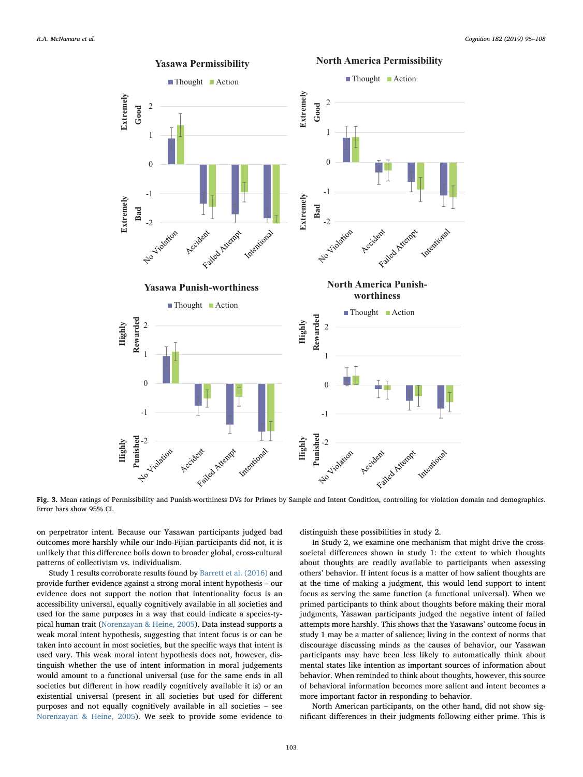<span id="page-8-0"></span>

Fig. 3. Mean ratings of Permissibility and Punish-worthiness DVs for Primes by Sample and Intent Condition, controlling for violation domain and demographics. Error bars show 95% CI.

on perpetrator intent. Because our Yasawan participants judged bad outcomes more harshly while our Indo-Fijian participants did not, it is unlikely that this difference boils down to broader global, cross-cultural patterns of collectivism vs. individualism.

Study 1 results corroborate results found by [Barrett et al. \(2016\)](#page-11-2) and provide further evidence against a strong moral intent hypothesis – our evidence does not support the notion that intentionality focus is an accessibility universal, equally cognitively available in all societies and used for the same purposes in a way that could indicate a species-typical human trait ([Norenzayan & Heine, 2005\)](#page-13-9). Data instead supports a weak moral intent hypothesis, suggesting that intent focus is or can be taken into account in most societies, but the specific ways that intent is used vary. This weak moral intent hypothesis does not, however, distinguish whether the use of intent information in moral judgements would amount to a functional universal (use for the same ends in all societies but different in how readily cognitively available it is) or an existential universal (present in all societies but used for different purposes and not equally cognitively available in all societies – see [Norenzayan & Heine, 2005](#page-13-9)). We seek to provide some evidence to

distinguish these possibilities in study 2.

In Study 2, we examine one mechanism that might drive the crosssocietal differences shown in study 1: the extent to which thoughts about thoughts are readily available to participants when assessing others' behavior. If intent focus is a matter of how salient thoughts are at the time of making a judgment, this would lend support to intent focus as serving the same function (a functional universal). When we primed participants to think about thoughts before making their moral judgments, Yasawan participants judged the negative intent of failed attempts more harshly. This shows that the Yasawans' outcome focus in study 1 may be a matter of salience; living in the context of norms that discourage discussing minds as the causes of behavior, our Yasawan participants may have been less likely to automatically think about mental states like intention as important sources of information about behavior. When reminded to think about thoughts, however, this source of behavioral information becomes more salient and intent becomes a more important factor in responding to behavior.

North American participants, on the other hand, did not show significant differences in their judgments following either prime. This is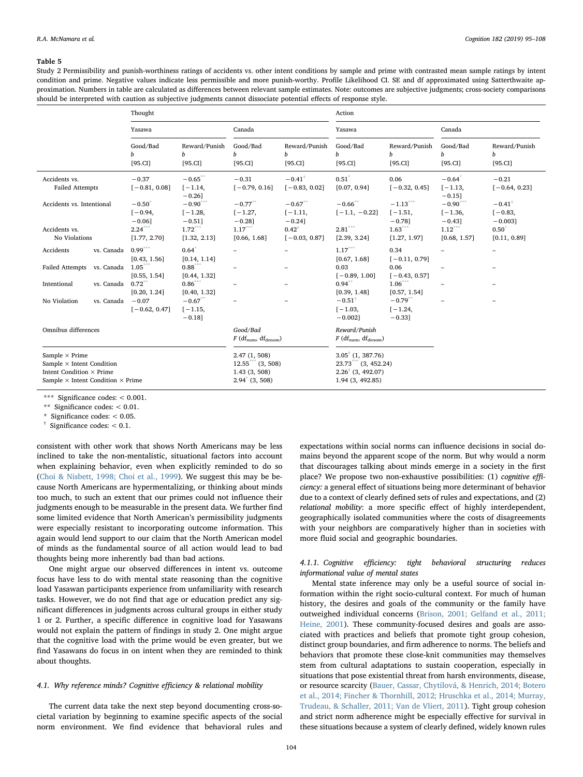#### <span id="page-9-0"></span>Table 5

Study 2 Permissibility and punish-worthiness ratings of accidents vs. other intent conditions by sample and prime with contrasted mean sample ratings by intent condition and prime. Negative values indicate less permissible and more punish-worthy. Profile Likelihood CI. SE and df approximated using Satterthwaite approximation. Numbers in table are calculated as differences between relevant sample estimates. Note: outcomes are subjective judgments; cross-society comparisons should be interpreted with caution as subjective judgments cannot dissociate potential effects of response style.

|                                                                                                                                                 |            | Thought                                                                  |                                                |                                                                                                          |                                              | Action                                       |                                      |                                      |                                              |
|-------------------------------------------------------------------------------------------------------------------------------------------------|------------|--------------------------------------------------------------------------|------------------------------------------------|----------------------------------------------------------------------------------------------------------|----------------------------------------------|----------------------------------------------|--------------------------------------|--------------------------------------|----------------------------------------------|
|                                                                                                                                                 |            | Yasawa                                                                   |                                                | Canada                                                                                                   |                                              | Yasawa                                       |                                      | Canada                               |                                              |
|                                                                                                                                                 |            | Good/Bad<br>h<br>[95.CI]                                                 | Reward/Punish<br>b<br>[95.CI]                  | Good/Bad<br>b<br>[95.CII]                                                                                | Reward/Punish<br>$\boldsymbol{h}$<br>[95.CI] | Good/Bad<br>b<br>[95.CI]                     | Reward/Punish<br>b<br>[95.CI]        | Good/Bad<br>h<br>[95.CI]             | Reward/Punish<br>b<br>[95.CI]                |
| Accidents vs.<br><b>Failed Attempts</b>                                                                                                         |            | $-0.37$<br>$[-0.81, 0.08]$                                               | $-0.65$ **<br>$[-1.14,$<br>$-0.26$ ]           | $-0.31$<br>$[-0.79, 0.16]$                                                                               | $-0.41^{\dagger}$<br>$[-0.83, 0.02]$         | $0.51^*$<br>[0.07, 0.94]                     | 0.06<br>$[-0.32, 0.45]$              | $-0.64^*$<br>$[-1.13,$<br>$-0.15$ ]  | $-0.21$<br>$[-0.64, 0.23]$                   |
| Accidents vs. Intentional                                                                                                                       |            | $-0.50$ <sup>-</sup><br>$[-0.94,$<br>$-0.061$                            | $-0.90***$<br>$[-1.28,$<br>$-0.51$ ]           | $-0.77$ **<br>$[-1.27,$<br>$-0.281$                                                                      | $-0.67$ **<br>$[-1.11,$<br>$-0.24$ ]         | $-0.66$ **<br>$[-1.1, -0.22]$                | $-1.13***$<br>$[-1.51,$<br>$-0.78$ ] | $-0.90***$<br>$[-1.36,$<br>$-0.43$ ] | $-0.41^{\dagger}$<br>$[-0.83,$<br>$-0.003$ ] |
| Accidents vs.<br>No Violations                                                                                                                  |            | $2.24***$<br>[1.77, 2.70]                                                | $1.72***$<br>[1.32, 2.13]                      | $1.17***$<br>[0.66, 1.68]                                                                                | $0.42^{\dagger}$<br>$[-0.03, 0.87]$          | $2.81***$<br>[2.39, 3.24]                    | $1.63***$<br>[1.27, 1.97]            | $1.12***$<br>[0.68, 1.57]            | $0.50^{*}$<br>[0.11, 0.89]                   |
| Accidents                                                                                                                                       | vs. Canada | $0.99***$<br>[0.43, 1.56]                                                | $0.64*$<br>[0.14, 1.14]                        |                                                                                                          |                                              | $1.17***$<br>[0.67, 1.68]                    | 0.34<br>$[-0.11, 0.79]$              |                                      | -                                            |
| Failed Attempts vs. Canada                                                                                                                      |            | $1.05$ <sup>*</sup><br>[0.55, 1.54]                                      | $0.88***$<br>[0.44, 1.32]                      |                                                                                                          |                                              | 0.03<br>$[-0.89, 1.00]$                      | 0.06<br>$[-0.43, 0.57]$              |                                      |                                              |
| Intentional                                                                                                                                     | vs. Canada | 0.72<br>[0.20, 1.24]                                                     | $0.86^{\ast\ast\ast}$<br>[0.40, 1.32]          |                                                                                                          |                                              | 0.94<br>[0.39, 1.48]                         | $1.06^*$<br>[0.57, 1.54]             |                                      | $\overline{\phantom{0}}$                     |
| No Violation                                                                                                                                    | vs. Canada | $-0.07$<br>$[-0.62, 0.47]$                                               | $-0.67$ <sup>*</sup><br>$[-1.15,$<br>$-0.18$ ] |                                                                                                          |                                              | $-0.51^{\dagger}$<br>$[-1.03,$<br>$-0.002$ ] | $-0.79$ **<br>$[-1.24,$<br>$-0.33$ ] |                                      |                                              |
| Omnibus differences                                                                                                                             |            | Good/Bad<br>$F$ (df <sub>num</sub> , df <sub>denom</sub> )               |                                                | Reward/Punish<br>$F$ (df <sub>num</sub> , df <sub>denom</sub> )                                          |                                              |                                              |                                      |                                      |                                              |
| Sample $\times$ Prime<br>Sample $\times$ Intent Condition<br>Intent Condition $\times$ Prime<br>Sample $\times$ Intent Condition $\times$ Prime |            | 2.47(1, 508)<br>$12.55***$ (3, 508)<br>1.43(3, 508)<br>$2.94^*$ (3, 508) |                                                | $3.05^{\dagger}$ (1, 387.76)<br>$23.73$ (3, 452.24)<br>$2.26$ <sup>(3, 492.07)</sup><br>1.94 (3, 492.85) |                                              |                                              |                                      |                                      |                                              |

<span id="page-9-4"></span>\*\*\* Significance codes: < 0.001.

<span id="page-9-1"></span>\*\* Significance codes: < 0.01.

<span id="page-9-3"></span>\* Significance codes: < 0.05.

<span id="page-9-2"></span>Significance codes:  $< 0.1$ .

consistent with other work that shows North Americans may be less inclined to take the non-mentalistic, situational factors into account when explaining behavior, even when explicitly reminded to do so ([Choi & Nisbett, 1998; Choi et al., 1999\)](#page-12-23). We suggest this may be because North Americans are hypermentalizing, or thinking about minds too much, to such an extent that our primes could not influence their judgments enough to be measurable in the present data. We further find some limited evidence that North American's permissibility judgments were especially resistant to incorporating outcome information. This again would lend support to our claim that the North American model of minds as the fundamental source of all action would lead to bad thoughts being more inherently bad than bad actions.

One might argue our observed differences in intent vs. outcome focus have less to do with mental state reasoning than the cognitive load Yasawan participants experience from unfamiliarity with research tasks. However, we do not find that age or education predict any significant differences in judgments across cultural groups in either study 1 or 2. Further, a specific difference in cognitive load for Yasawans would not explain the pattern of findings in study 2. One might argue that the cognitive load with the prime would be even greater, but we find Yasawans do focus in on intent when they are reminded to think about thoughts.

#### 4.1. Why reference minds? Cognitive efficiency & relational mobility

The current data take the next step beyond documenting cross-societal variation by beginning to examine specific aspects of the social norm environment. We find evidence that behavioral rules and expectations within social norms can influence decisions in social domains beyond the apparent scope of the norm. But why would a norm that discourages talking about minds emerge in a society in the first place? We propose two non-exhaustive possibilities: (1) cognitive efficiency: a general effect of situations being more determinant of behavior due to a context of clearly defined sets of rules and expectations, and (2) relational mobility: a more specific effect of highly interdependent, geographically isolated communities where the costs of disagreements with your neighbors are comparatively higher than in societies with more fluid social and geographic boundaries.

# 4.1.1. Cognitive efficiency: tight behavioral structuring reduces informational value of mental states

Mental state inference may only be a useful source of social information within the right socio-cultural context. For much of human history, the desires and goals of the community or the family have outweighed individual concerns [\(Brison, 2001; Gelfand et al., 2011;](#page-12-15) [Heine, 2001](#page-12-15)). These community-focused desires and goals are associated with practices and beliefs that promote tight group cohesion, distinct group boundaries, and firm adherence to norms. The beliefs and behaviors that promote these close-knit communities may themselves stem from cultural adaptations to sustain cooperation, especially in situations that pose existential threat from harsh environments, disease, or resource scarcity ([Bauer, Cassar, Chytilová, & Henrich, 2014; Botero](#page-11-8) [et al., 2014; Fincher & Thornhill, 2012; Hruschka et al., 2014; Murray,](#page-11-8) [Trudeau, & Schaller, 2011; Van de Vliert, 2011\)](#page-11-8). Tight group cohesion and strict norm adherence might be especially effective for survival in these situations because a system of clearly defined, widely known rules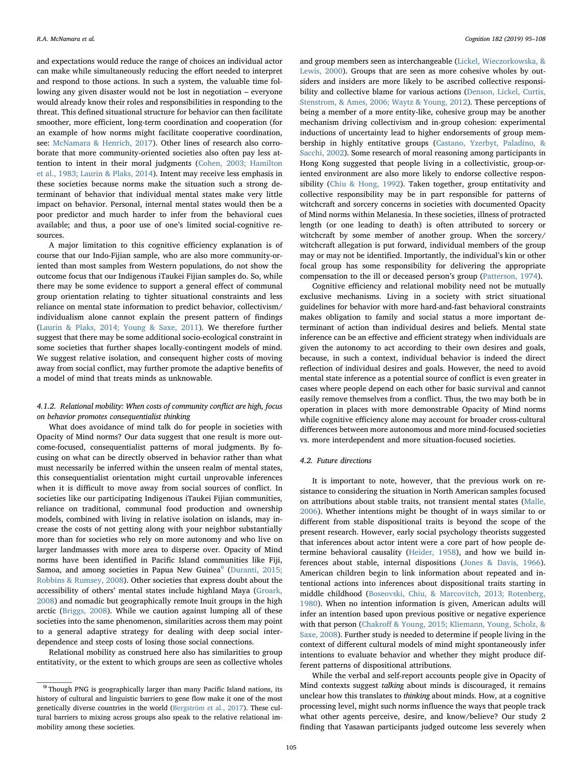and expectations would reduce the range of choices an individual actor can make while simultaneously reducing the effort needed to interpret and respond to those actions. In such a system, the valuable time following any given disaster would not be lost in negotiation – everyone would already know their roles and responsibilities in responding to the threat. This defined situational structure for behavior can then facilitate smoother, more efficient, long-term coordination and cooperation (for an example of how norms might facilitate cooperative coordination, see: [McNamara & Henrich, 2017](#page-13-2)). Other lines of research also corroborate that more community-oriented societies also often pay less attention to intent in their moral judgments ([Cohen, 2003; Hamilton](#page-12-24) [et al., 1983; Laurin & Plaks, 2014](#page-12-24)). Intent may receive less emphasis in these societies because norms make the situation such a strong determinant of behavior that individual mental states make very little impact on behavior. Personal, internal mental states would then be a poor predictor and much harder to infer from the behavioral cues available; and thus, a poor use of one's limited social-cognitive resources.

A major limitation to this cognitive efficiency explanation is of course that our Indo-Fijian sample, who are also more community-oriented than most samples from Western populations, do not show the outcome focus that our Indigenous iTaukei Fijian samples do. So, while there may be some evidence to support a general effect of communal group orientation relating to tighter situational constraints and less reliance on mental state information to predict behavior, collectivism/ individualism alone cannot explain the present pattern of findings ([Laurin & Plaks, 2014; Young & Saxe, 2011](#page-12-25)). We therefore further suggest that there may be some additional socio-ecological constraint in some societies that further shapes locally-contingent models of mind. We suggest relative isolation, and consequent higher costs of moving away from social conflict, may further promote the adaptive benefits of a model of mind that treats minds as unknowable.

# 4.1.2. Relational mobility: When costs of community conflict are high, focus on behavior promotes consequentialist thinking

What does avoidance of mind talk do for people in societies with Opacity of Mind norms? Our data suggest that one result is more outcome-focused, consequentialist patterns of moral judgments. By focusing on what can be directly observed in behavior rather than what must necessarily be inferred within the unseen realm of mental states, this consequentialist orientation might curtail unprovable inferences when it is difficult to move away from social sources of conflict. In societies like our participating Indigenous iTaukei Fijian communities, reliance on traditional, communal food production and ownership models, combined with living in relative isolation on islands, may increase the costs of not getting along with your neighbor substantially more than for societies who rely on more autonomy and who live on larger landmasses with more area to disperse over. Opacity of Mind norms have been identified in Pacific Island communities like Fiji, Samoa, and among societies in Papua New Guinea $^9$  $^9$  ([Duranti, 2015;](#page-12-2) [Robbins & Rumsey, 2008](#page-12-2)). Other societies that express doubt about the accessibility of others' mental states include highland Maya [\(Groark,](#page-12-26) [2008\)](#page-12-26) and nomadic but geographically remote Inuit groups in the high arctic ([Briggs, 2008\)](#page-11-9). While we caution against lumping all of these societies into the same phenomenon, similarities across them may point to a general adaptive strategy for dealing with deep social interdependence and steep costs of losing those social connections.

Relational mobility as construed here also has similarities to group entitativity, or the extent to which groups are seen as collective wholes

and group members seen as interchangeable [\(Lickel, Wieczorkowska, &](#page-12-27) [Lewis, 2000](#page-12-27)). Groups that are seen as more cohesive wholes by outsiders and insiders are more likely to be ascribed collective responsibility and collective blame for various actions [\(Denson, Lickel, Curtis,](#page-12-28) [Stenstrom, & Ames, 2006; Waytz & Young, 2012\)](#page-12-28). These perceptions of being a member of a more entity-like, cohesive group may be another mechanism driving collectivism and in-group cohesion: experimental inductions of uncertainty lead to higher endorsements of group membership in highly entitative groups ([Castano, Yzerbyt, Paladino, &](#page-12-29) [Sacchi, 2002\)](#page-12-29). Some research of moral reasoning among participants in Hong Kong suggested that people living in a collectivistic, group-oriented environment are also more likely to endorse collective responsibility [\(Chiu & Hong, 1992\)](#page-12-30). Taken together, group entitativity and collective responsibility may be in part responsible for patterns of witchcraft and sorcery concerns in societies with documented Opacity of Mind norms within Melanesia. In these societies, illness of protracted length (or one leading to death) is often attributed to sorcery or witchcraft by some member of another group. When the sorcery/ witchcraft allegation is put forward, individual members of the group may or may not be identified. Importantly, the individual's kin or other focal group has some responsibility for delivering the appropriate compensation to the ill or deceased person's group ([Patterson, 1974](#page-13-10)).

Cognitive efficiency and relational mobility need not be mutually exclusive mechanisms. Living in a society with strict situational guidelines for behavior with more hard-and-fast behavioral constraints makes obligation to family and social status a more important determinant of action than individual desires and beliefs. Mental state inference can be an effective and efficient strategy when individuals are given the autonomy to act according to their own desires and goals, because, in such a context, individual behavior is indeed the direct reflection of individual desires and goals. However, the need to avoid mental state inference as a potential source of conflict is even greater in cases where people depend on each other for basic survival and cannot easily remove themselves from a conflict. Thus, the two may both be in operation in places with more demonstrable Opacity of Mind norms while cognitive efficiency alone may account for broader cross-cultural differences between more autonomous and more mind-focused societies vs. more interdependent and more situation-focused societies.

# 4.2. Future directions

It is important to note, however, that the previous work on resistance to considering the situation in North American samples focused on attributions about stable traits, not transient mental states ([Malle,](#page-12-31) [2006\)](#page-12-31). Whether intentions might be thought of in ways similar to or different from stable dispositional traits is beyond the scope of the present research. However, early social psychology theorists suggested that inferences about actor intent were a core part of how people determine behavioral causality ([Heider, 1958\)](#page-12-32), and how we build inferences about stable, internal dispositions ([Jones & Davis, 1966](#page-12-33)). American children begin to link information about repeated and intentional actions into inferences about dispositional traits starting in middle childhood ([Boseovski, Chiu, & Marcovitch, 2013; Rotenberg,](#page-11-10) [1980\)](#page-11-10). When no intention information is given, American adults will infer an intention based upon previous positive or negative experience with that person (Chakroff [& Young, 2015; Kliemann, Young, Scholz, &](#page-12-34) [Saxe, 2008\)](#page-12-34). Further study is needed to determine if people living in the context of different cultural models of mind might spontaneously infer intentions to evaluate behavior and whether they might produce different patterns of dispositional attributions.

While the verbal and self-report accounts people give in Opacity of Mind contexts suggest talking about minds is discouraged, it remains unclear how this translates to thinking about minds. How, at a cognitive processing level, might such norms influence the ways that people track what other agents perceive, desire, and know/believe? Our study 2 finding that Yasawan participants judged outcome less severely when

<span id="page-10-0"></span><sup>9</sup> Though PNG is geographically larger than many Pacific Island nations, its history of cultural and linguistic barriers to gene flow make it one of the most genetically diverse countries in the world ([Bergström et al., 2017\)](#page-11-11). These cultural barriers to mixing across groups also speak to the relative relational immobility among these societies.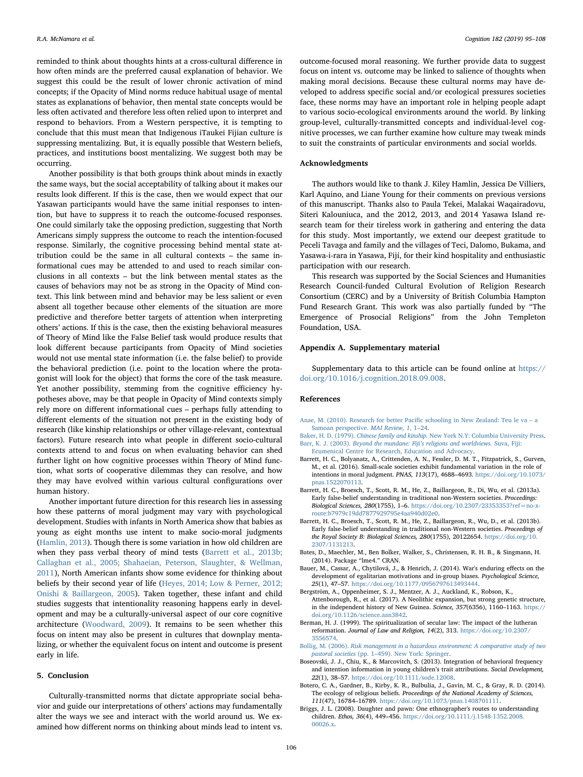reminded to think about thoughts hints at a cross-cultural difference in how often minds are the preferred causal explanation of behavior. We suggest this could be the result of lower chronic activation of mind concepts; if the Opacity of Mind norms reduce habitual usage of mental states as explanations of behavior, then mental state concepts would be less often activated and therefore less often relied upon to interpret and respond to behaviors. From a Western perspective, it is tempting to conclude that this must mean that Indigenous iTaukei Fijian culture is suppressing mentalizing. But, it is equally possible that Western beliefs, practices, and institutions boost mentalizing. We suggest both may be occurring.

Another possibility is that both groups think about minds in exactly the same ways, but the social acceptability of talking about it makes our results look different. If this is the case, then we would expect that our Yasawan participants would have the same initial responses to intention, but have to suppress it to reach the outcome-focused responses. One could similarly take the opposing prediction, suggesting that North Americans simply suppress the outcome to reach the intention-focused response. Similarly, the cognitive processing behind mental state attribution could be the same in all cultural contexts – the same informational cues may be attended to and used to reach similar conclusions in all contexts – but the link between mental states as the causes of behaviors may not be as strong in the Opacity of Mind context. This link between mind and behavior may be less salient or even absent all together because other elements of the situation are more predictive and therefore better targets of attention when interpreting others' actions. If this is the case, then the existing behavioral measures of Theory of Mind like the False Belief task would produce results that look different because participants from Opacity of Mind societies would not use mental state information (i.e. the false belief) to provide the behavioral prediction (i.e. point to the location where the protagonist will look for the object) that forms the core of the task measure. Yet another possibility, stemming from the cognitive efficiency hypotheses above, may be that people in Opacity of Mind contexts simply rely more on different informational cues – perhaps fully attending to different elements of the situation not present in the existing body of research (like kinship relationships or other village-relevant, contextual factors). Future research into what people in different socio-cultural contexts attend to and focus on when evaluating behavior can shed further light on how cognitive processes within Theory of Mind function, what sorts of cooperative dilemmas they can resolve, and how they may have evolved within various cultural configurations over human history.

Another important future direction for this research lies in assessing how these patterns of moral judgment may vary with psychological development. Studies with infants in North America show that babies as young as eight months use intent to make socio-moral judgments ([Hamlin, 2013\)](#page-12-35). Though there is some variation in how old children are when they pass verbal theory of mind tests ([Barrett et al., 2013b;](#page-11-12) [Callaghan et al., 2005; Shahaeian, Peterson, Slaughter, & Wellman,](#page-11-12) [2011\)](#page-11-12), North American infants show some evidence for thinking about beliefs by their second year of life ([Heyes, 2014; Low & Perner, 2012;](#page-12-36) [Onishi & Baillargeon, 2005\)](#page-12-36). Taken together, these infant and child studies suggests that intentionality reasoning happens early in development and may be a culturally-universal aspect of our core cognitive architecture [\(Woodward, 2009\)](#page-13-11). It remains to be seen whether this focus on intent may also be present in cultures that downplay mentalizing, or whether the equivalent focus on intent and outcome is present early in life.

#### 5. Conclusion

Culturally-transmitted norms that dictate appropriate social behavior and guide our interpretations of others' actions may fundamentally alter the ways we see and interact with the world around us. We examined how different norms on thinking about minds lead to intent vs.

outcome-focused moral reasoning. We further provide data to suggest focus on intent vs. outcome may be linked to salience of thoughts when making moral decisions. Because these cultural norms may have developed to address specific social and/or ecological pressures societies face, these norms may have an important role in helping people adapt to various socio-ecological environments around the world. By linking group-level, culturally-transmitted concepts and individual-level cognitive processes, we can further examine how culture may tweak minds to suit the constraints of particular environments and social worlds.

# Acknowledgments

The authors would like to thank J. Kiley Hamlin, Jessica De Villiers, Karl Aquino, and Liane Young for their comments on previous versions of this manuscript. Thanks also to Paula Tekei, Malakai Waqairadovu, Siteri Kalouniuca, and the 2012, 2013, and 2014 Yasawa Island research team for their tireless work in gathering and entering the data for this study. Most importantly, we extend our deepest gratitude to Peceli Tavaga and family and the villages of Teci, Dalomo, Bukama, and Yasawa-i-rara in Yasawa, Fiji, for their kind hospitality and enthusiastic participation with our research.

This research was supported by the Social Sciences and Humanities Research Council-funded Cultural Evolution of Religion Research Consortium (CERC) and by a University of British Columbia Hampton Fund Research Grant. This work was also partially funded by "The Emergence of Prosocial Religions" from the John Templeton Foundation, USA.

#### Appendix A. Supplementary material

Supplementary data to this article can be found online at [https://](https://doi.org/10.1016/j.cognition.2018.09.008) [doi.org/10.1016/j.cognition.2018.09.008](https://doi.org/10.1016/j.cognition.2018.09.008).

# References

- <span id="page-11-6"></span>[Anae, M. \(2010\). Research for better Paci](http://refhub.elsevier.com/S0010-0277(18)30244-0/h0005)fic schooling in New Zealand: Teu le va – a [Samoan perspective.](http://refhub.elsevier.com/S0010-0277(18)30244-0/h0005) MAI Review, 1, 1–24.
- <span id="page-11-4"></span><span id="page-11-1"></span>Baker, H. D. (1979). Chinese family and kinship. [New York N.Y: Columbia University Press.](http://refhub.elsevier.com/S0010-0277(18)30244-0/h0010) Barr, K. J. (2003). Beyond the mundane: Fiji'[s religions and worldviews.](http://refhub.elsevier.com/S0010-0277(18)30244-0/h0015) Suva, Fiji: [Ecumenical Centre for Research, Education and Advocacy.](http://refhub.elsevier.com/S0010-0277(18)30244-0/h0015)
- <span id="page-11-2"></span>Barrett, H. C., Bolyanatz, A., Crittenden, A. N., Fessler, D. M. T., Fitzpatrick, S., Gurven, M., et al. (2016). Small-scale societies exhibit fundamental variation in the role of intentions in moral judgment. PNAS, 113(17), 4688–4693. [https://doi.org/10.1073/](https://doi.org/10.1073/pnas.1522070113) [pnas.1522070113](https://doi.org/10.1073/pnas.1522070113).
- <span id="page-11-3"></span>Barrett, H. C., Broesch, T., Scott, R. M., He, Z., Baillargeon, R., Di, Wu, et al. (2013a). Early false-belief understanding in traditional non-Western societies. Proceedings: Biological Sciences, 280(1755), 1–6. [https://doi.org/10.2307/23353353?ref=no-x](https://doi.org/10.2307/23353353?refo-x-route:b7979c19dd7877929795e4aa940d02e0)[route:b7979c19dd7877929795e4aa940d02e0.](https://doi.org/10.2307/23353353?refo-x-route:b7979c19dd7877929795e4aa940d02e0)
- <span id="page-11-12"></span>Barrett, H. C., Broesch, T., Scott, R. M., He, Z., Baillargeon, R., Wu, D., et al. (2013b). Early false-belief understanding in traditional non-Western societies. Proceedings of the Royal Society B: Biological Sciences, 280(1755), 20122654. [https://doi.org/10.](https://doi.org/10.2307/1131213) [2307/1131213](https://doi.org/10.2307/1131213).
- <span id="page-11-7"></span>Bates, D., Maechler, M., Ben Bolker, Walker, S., Christensen, R. H. B., & Singmann, H. (2014). Package "lme4." CRAN.
- <span id="page-11-8"></span>Bauer, M., Cassar, A., Chytilová, J., & Henrich, J. (2014). War's enduring effects on the development of egalitarian motivations and in-group biases. Psychological Science, 25(1), 47–57. [https://doi.org/10.1177/0956797613493444.](https://doi.org/10.1177/0956797613493444)
- <span id="page-11-11"></span>Bergström, A., Oppenheimer, S. J., Mentzer, A. J., Auckland, K., Robson, K., Attenborough, R., et al. (2017). A Neolithic expansion, but strong genetic structure, in the independent history of New Guinea. Science, 357(6356), 1160–1163. [https://](https://doi.org/10.1126/science.aan3842) [doi.org/10.1126/science.aan3842.](https://doi.org/10.1126/science.aan3842)
- <span id="page-11-0"></span>Berman, H. J. (1999). The spiritualization of secular law: The impact of the lutheran reformation. Journal of Law and Religion, 14(2), 313. [https://doi.org/10.2307/](https://doi.org/10.2307/3556574) [3556574.](https://doi.org/10.2307/3556574)
- <span id="page-11-5"></span>Bollig, M. (2006). [Risk management in a hazardous environment: A comparative study of two](http://refhub.elsevier.com/S0010-0277(18)30244-0/h0055) pastoral societies (pp. 1–[459\). New York: Springer](http://refhub.elsevier.com/S0010-0277(18)30244-0/h0055).
- <span id="page-11-10"></span>Boseovski, J. J., Chiu, K., & Marcovitch, S. (2013). Integration of behavioral frequency and intention information in young children's trait attributions. Social Development, 22(1), 38–57. [https://doi.org/10.1111/sode.12008.](https://doi.org/10.1111/sode.12008)
- Botero, C. A., Gardner, B., Kirby, K. R., Bulbulia, J., Gavin, M. C., & Gray, R. D. (2014). The ecology of religious beliefs. Proceedings of the National Academy of Sciences, 111(47), 16784–16789. [https://doi.org/10.1073/pnas.1408701111.](https://doi.org/10.1073/pnas.1408701111)
- <span id="page-11-9"></span>Briggs, J. L. (2008). Daughter and pawn: One ethnographer's routes to understanding children. Ethos, 36(4), 449–456. [https://doi.org/10.1111/j.1548-1352.2008.](https://doi.org/10.1111/j.1548-1352.2008.00026.x) [00026.x.](https://doi.org/10.1111/j.1548-1352.2008.00026.x)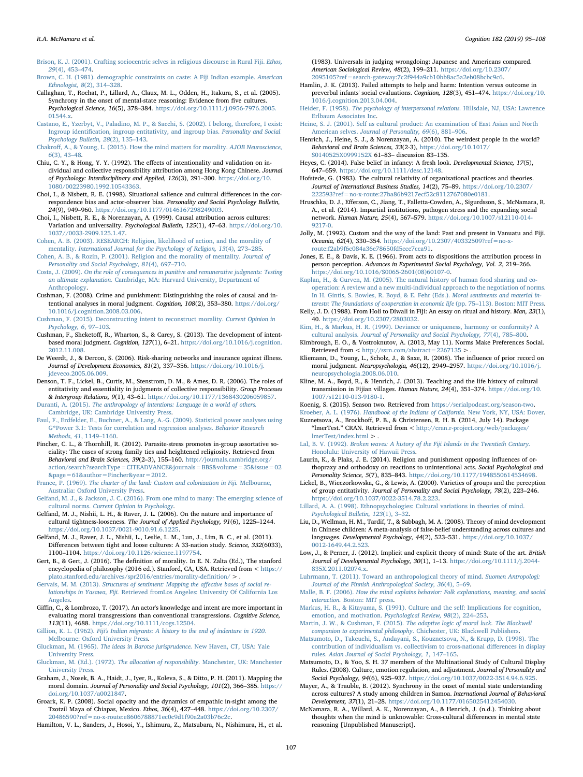<span id="page-12-15"></span>[Brison, K. J. \(2001\). Crafting sociocentric selves in religious discourse in Rural Fiji.](http://refhub.elsevier.com/S0010-0277(18)30244-0/h0075) Ethos, 29[\(4\), 453](http://refhub.elsevier.com/S0010-0277(18)30244-0/h0075)–474.

<span id="page-12-20"></span>[Brown, C. H. \(1981\). demographic constraints on caste: A Fiji Indian example.](http://refhub.elsevier.com/S0010-0277(18)30244-0/h0080) American [Ethnologist, 8](http://refhub.elsevier.com/S0010-0277(18)30244-0/h0080)(2), 314–328.

Callaghan, T., Rochat, P., Lillard, A., Claux, M. L., Odden, H., Itakura, S., et al. (2005). Synchrony in the onset of mental-state reasoning: Evidence from five cultures. Psychological Science, 16(5), 378–384. [https://doi.org/10.1111/j.0956-7976.2005.](https://doi.org/10.1111/j.0956-7976.2005.01544.x) [01544.x.](https://doi.org/10.1111/j.0956-7976.2005.01544.x)

<span id="page-12-29"></span>[Castano, E., Yzerbyt, V., Paladino, M. P., & Sacchi, S. \(2002\). I belong, therefore, I exist:](http://refhub.elsevier.com/S0010-0277(18)30244-0/h0090) Ingroup identifi[cation, ingroup entitativity, and ingroup bias.](http://refhub.elsevier.com/S0010-0277(18)30244-0/h0090) Personality and Social [Psychology Bulletin, 28](http://refhub.elsevier.com/S0010-0277(18)30244-0/h0090)(2), 135–143.

- <span id="page-12-34"></span>Chakroff[, A., & Young, L. \(2015\). How the mind matters for morality.](http://refhub.elsevier.com/S0010-0277(18)30244-0/h0095) AJOB Neuroscience, 6[\(3\), 43](http://refhub.elsevier.com/S0010-0277(18)30244-0/h0095)–48.
- <span id="page-12-30"></span>Chiu, C. Y., & Hong, Y. Y. (1992). The effects of intentionality and validation on individual and collective responsibility attribution among Hong Kong Chinese. Journal of Psychology: Interdisciplinary and Applied, 126(3), 291–300. [https://doi.org/10.](https://doi.org/10.1080/00223980.1992.10543363) [1080/00223980.1992.10543363](https://doi.org/10.1080/00223980.1992.10543363).
- <span id="page-12-23"></span>Choi, I., & Nisbett, R. E. (1998). Situational salience and cultural differences in the correspondence bias and actor-observer bias. Personality and Social Psychology Bulletin, 24(9), 949–960. [https://doi.org/10.1177/0146167298249003.](https://doi.org/10.1177/0146167298249003)
- Choi, I., Nisbett, R. E., & Norenzayan, A. (1999). Causal attribution across cultures: Variation and universality. Psychological Bulletin, 125(1), 47–63. [https://doi.org/10.](https://doi.org/10.1037//0033-2909.125.1.47) [1037//0033-2909.125.1.47.](https://doi.org/10.1037//0033-2909.125.1.47)
- <span id="page-12-24"></span>[Cohen, A. B. \(2003\). RESEARCH: Religion, likelihood of action, and the morality of](http://refhub.elsevier.com/S0010-0277(18)30244-0/h0115) mentality. [International Journal for the Psychology of Religion, 13](http://refhub.elsevier.com/S0010-0277(18)30244-0/h0115)(4), 273–285.
- [Cohen, A. B., & Rozin, P. \(2001\). Religion and the morality of mentality.](http://refhub.elsevier.com/S0010-0277(18)30244-0/h0120) Journal of [Personality and Social Psychology, 81](http://refhub.elsevier.com/S0010-0277(18)30244-0/h0120)(4), 697–710.
- <span id="page-12-10"></span>Costa, J. (2009). [On the role of consequences in punitive and remunerative judgments: Testing](http://refhub.elsevier.com/S0010-0277(18)30244-0/h0125) an ultimate explanation. [Cambridge, MA: Harvard University, Department of](http://refhub.elsevier.com/S0010-0277(18)30244-0/h0125) [Anthropology](http://refhub.elsevier.com/S0010-0277(18)30244-0/h0125).
- <span id="page-12-9"></span>Cushman, F. (2008). Crime and punishment: Distinguishing the roles of causal and intentional analyses in moral judgment. Cognition, 108(2), 353–380. [https://doi.org/](https://doi.org/10.1016/j.cognition.2008.03.006) [10.1016/j.cognition.2008.03.006.](https://doi.org/10.1016/j.cognition.2008.03.006)
- <span id="page-12-8"></span>Cushman, [F. \(2015\). Deconstructing intent to reconstruct morality.](http://refhub.elsevier.com/S0010-0277(18)30244-0/h0135) Current Opinion in [Psychology, 6](http://refhub.elsevier.com/S0010-0277(18)30244-0/h0135), 97–103.
- Cushman, F., Sheketoff, R., Wharton, S., & Carey, S. (2013). The development of intentbased moral judgment. Cognition, 127(1), 6–21. [https://doi.org/10.1016/j.cognition.](https://doi.org/10.1016/j.cognition.2012.11.008) [2012.11.008](https://doi.org/10.1016/j.cognition.2012.11.008).
- De Weerdt, J., & Dercon, S. (2006). Risk-sharing networks and insurance against illness. Journal of Development Economics, 81(2), 337–356. [https://doi.org/10.1016/j.](https://doi.org/10.1016/j.jdeveco.2005.06.009) [jdeveco.2005.06.009.](https://doi.org/10.1016/j.jdeveco.2005.06.009)
- <span id="page-12-28"></span>Denson, T. F., Lickel, B., Curtis, M., Stenstrom, D. M., & Ames, D. R. (2006). The roles of entitativity and essentiality in judgments of collective responsibility. Group Processes & Intergroup Relations, 9(1), 43–61. [https://doi.org/10.1177/1368430206059857.](https://doi.org/10.1177/1368430206059857)

<span id="page-12-2"></span>Duranti, A. (2015). [The anthropology of intentions: Language in a world of others.](http://refhub.elsevier.com/S0010-0277(18)30244-0/h0155) [Cambridge, UK: Cambridge University Press](http://refhub.elsevier.com/S0010-0277(18)30244-0/h0155).

- <span id="page-12-21"></span>[Faul, F., Erdfelder, E., Buchner, A., & Lang, A.-G. \(2009\). Statistical power analyses using](http://refhub.elsevier.com/S0010-0277(18)30244-0/h0160) [G\\*Power 3.1: Tests for correlation and regression analyses.](http://refhub.elsevier.com/S0010-0277(18)30244-0/h0160) Behavior Research [Methods, 41](http://refhub.elsevier.com/S0010-0277(18)30244-0/h0160), 1149–1160.
- Fincher, C. L., & Thornhill, R. (2012). Parasite-stress promotes in-group assortative sociality: The cases of strong family ties and heightened religiosity. Retrieved from Behavioral and Brain Sciences, 39(2–3), 155–160. [http://journals.cambridge.org/](http://journals.cambridge.org/action/search?searchType=CITEADVANCE%26journals=BBS%26volume=35%26issue=02%26page=61%26author=Fincher%26year=2012) [action/search?searchType=CITEADVANCE&journals=BBS&volume=35&issue=02](http://journals.cambridge.org/action/search?searchType=CITEADVANCE%26journals=BBS%26volume=35%26issue=02%26page=61%26author=Fincher%26year=2012) [&page=61&author=Fincher&year=2012](http://journals.cambridge.org/action/search?searchType=CITEADVANCE%26journals=BBS%26volume=35%26issue=02%26page=61%26author=Fincher%26year=2012).

<span id="page-12-16"></span>France, P. (1969). [The charter of the land: Custom and colonization in Fiji.](http://refhub.elsevier.com/S0010-0277(18)30244-0/h0170) Melbourne, [Australia: Oxford University Press](http://refhub.elsevier.com/S0010-0277(18)30244-0/h0170).

- <span id="page-12-5"></span>[Gelfand, M. J., & Jackson, J. C. \(2016\). From one mind to many: The emerging science of](http://refhub.elsevier.com/S0010-0277(18)30244-0/h0175) cultural norms. [Current Opinion in Psychology](http://refhub.elsevier.com/S0010-0277(18)30244-0/h0175).
- <span id="page-12-11"></span>Gelfand, M. J., Nishii, L. H., & Raver, J. L. (2006). On the nature and importance of cultural tightness-looseness. The Journal of Applied Psychology, 91(6), 1225–1244. [https://doi.org/10.1037/0021-9010.91.6.1225.](https://doi.org/10.1037/0021-9010.91.6.1225)
- Gelfand, M. J., Raver, J. L., Nishii, L., Leslie, L. M., Lun, J., Lim, B. C., et al. (2011). Differences between tight and loose cultures: A 33-nation study. Science, 332(6033), 1100–1104. <https://doi.org/10.1126/science.1197754>.
- <span id="page-12-6"></span>Gert, B., & Gert, J. (2016). The definition of morality. In E. N. Zalta (Ed.), The stanford encyclopedia of philosophy (2016 ed.). Stanford, CA, USA. Retrieved from < [https://](https://plato.stanford.edu/archives/spr2016/entries/morality-definition/) [plato.stanford.edu/archives/spr2016/entries/morality-de](https://plato.stanford.edu/archives/spr2016/entries/morality-definition/)finition/ > .
- Gervais, M. M. (2013). [Structures of sentiment: Mapping the a](http://refhub.elsevier.com/S0010-0277(18)30244-0/h0195)ffective bases of social relationships in Yasawa, Fiji. [Retrieved fromLos Angeles: University Of California Los](http://refhub.elsevier.com/S0010-0277(18)30244-0/h0195) [Angeles](http://refhub.elsevier.com/S0010-0277(18)30244-0/h0195).
- <span id="page-12-7"></span>Giffin, C., & Lombrozo, T. (2017). An actor's knowledge and intent are more important in evaluating moral transgressions than conventional transgressions. Cognitive Science, 113(11), 4688. <https://doi.org/10.1111/cogs.12504>.
- <span id="page-12-18"></span>Gillion, K. L. (1962). [Fiji's Indian migrants: A history to the end of indenture in 1920.](http://refhub.elsevier.com/S0010-0277(18)30244-0/h0205) [Melbourne: Oxford University Press](http://refhub.elsevier.com/S0010-0277(18)30244-0/h0205).
- Gluckman, M. (1965). [The ideas in Barotse jurisprudence.](http://refhub.elsevier.com/S0010-0277(18)30244-0/h0210) New Haven, CT, USA: Yale [University Press](http://refhub.elsevier.com/S0010-0277(18)30244-0/h0210).
- Gluckman, M. (Ed.). (1972). The allocation of responsibility[. Manchester, UK: Manchester](http://refhub.elsevier.com/S0010-0277(18)30244-0/h0215) [University Press](http://refhub.elsevier.com/S0010-0277(18)30244-0/h0215).
- <span id="page-12-12"></span>Graham, J., Nosek, B. A., Haidt, J., Iyer, R., Koleva, S., & Ditto, P. H. (2011). Mapping the moral domain. Journal of Personality and Social Psychology, 101(2), 366–385. [https://](https://doi.org/10.1037/a0021847) [doi.org/10.1037/a0021847.](https://doi.org/10.1037/a0021847)
- <span id="page-12-26"></span>Groark, K. P. (2008). Social opacity and the dynamics of empathic in-sight among the Tzotzil Maya of Chiapas, Mexico. Ethos, 36(4), 427–448. [https://doi.org/10.2307/](https://doi.org/10.2307/20486590?refo-x-route:e8606788871ec0c9d1f90a2a03b76c2c) [20486590?ref=no-x-route:e8606788871ec0c9d1f90a2a03b76c2c.](https://doi.org/10.2307/20486590?refo-x-route:e8606788871ec0c9d1f90a2a03b76c2c)

<span id="page-12-13"></span>Hamilton, V. L., Sanders, J., Hosoi, Y., Ishimura, Z., Matsubara, N., Nishimura, H., et al.

(1983). Universals in judging wrongdoing: Japanese and Americans compared. American Sociological Review, 48(2), 199–211. [https://doi.org/10.2307/](https://doi.org/10.2307/2095105?ref=earch-gateway:7c2f944a9cb10bb8ac5a2eb08bcbc9c6) [2095105?ref=search-gateway:7c2f944a9cb10bb8ac5a2eb08bcbc9c6](https://doi.org/10.2307/2095105?ref=earch-gateway:7c2f944a9cb10bb8ac5a2eb08bcbc9c6).

- <span id="page-12-35"></span>Hamlin, J. K. (2013). Failed attempts to help and harm: Intention versus outcome in preverbal infants' social evaluations. Cognition, 128(3), 451–474. [https://doi.org/10.](https://doi.org/10.1016/j.cognition.2013.04.004) [1016/j.cognition.2013.04.004.](https://doi.org/10.1016/j.cognition.2013.04.004)
- <span id="page-12-32"></span>Heider, F. (1958). [The psychology of interpersonal relations.](http://refhub.elsevier.com/S0010-0277(18)30244-0/h0240) Hillsdale, NJ, USA: Lawrence [Erlbaum Associates Inc](http://refhub.elsevier.com/S0010-0277(18)30244-0/h0240).
- [Heine, S. J. \(2001\). Self as cultural product: An examination of East Asian and North](http://refhub.elsevier.com/S0010-0277(18)30244-0/h0245) American selves. [Journal of Personality, 69](http://refhub.elsevier.com/S0010-0277(18)30244-0/h0245)(6), 881–906.
- <span id="page-12-4"></span>Henrich, J., Heine, S. J., & Norenzayan, A. (2010). The weirdest people in the world? Behavioral and Brain Sciences, 33(2-3), [https://doi.org/10.1017/](https://doi.org/10.1017/S0140525X0999152X) [S0140525X0999152X](https://doi.org/10.1017/S0140525X0999152X) 61–83– discussion 83–135.
- <span id="page-12-36"></span>Heyes, C. (2014). False belief in infancy: A fresh look. Developmental Science, 17(5), 647–659. [https://doi.org/10.1111/desc.12148.](https://doi.org/10.1111/desc.12148)
- Hofstede, G. (1983). The cultural relativity of organizational practices and theories. Journal of International Business Studies, 14(2), 75–89. [https://doi.org/10.2307/](https://doi.org/10.2307/222593?refo-x-route:27ba86b9217ecf52c8112767080e0181) [222593?ref=no-x-route:27ba86b9217ecf52c8112767080e0181](https://doi.org/10.2307/222593?refo-x-route:27ba86b9217ecf52c8112767080e0181).
- Hruschka, D. J., Efferson, C., Jiang, T., Falletta-Cowden, A., Sigurdsson, S., McNamara, R. A., et al. (2014). Impartial institutions, pathogen stress and the expanding social network. Human Nature, 25(4), 567–579. [https://doi.org/10.1007/s12110-014-](https://doi.org/10.1007/s12110-014-9217-0) [9217-0.](https://doi.org/10.1007/s12110-014-9217-0)
- Jolly, M. (1992). Custom and the way of the land: Past and present in Vanuatu and Fiji. Oceania, 62(4), 330–354. [https://doi.org/10.2307/40332509?ref=no-x](https://doi.org/10.2307/40332509?refo-x-route:f2ab9f6c084a36e78650fd5cce7cca91)[route:f2ab9f6c084a36e78650fd5cce7cca91](https://doi.org/10.2307/40332509?refo-x-route:f2ab9f6c084a36e78650fd5cce7cca91).
- <span id="page-12-33"></span>Jones, E. E., & Davis, K. E. (1966). From acts to dispositions the attribution process in person perception. Advances in Experimental Social Psychology, Vol. 2, 219–266. [https://doi.org/10.1016/S0065-2601\(08\)60107-0.](https://doi.org/10.1016/S0065-2601(08)60107-0)
- [Kaplan, H., & Gurven, M. \(2005\). The natural history of human food sharing and co](http://refhub.elsevier.com/S0010-0277(18)30244-0/h0280)[operation: A review and a new multi-individual approach to the negotiation of norms.](http://refhub.elsevier.com/S0010-0277(18)30244-0/h0280) [In H. Gintis, S. Bowles, R. Boyd, & E. Fehr \(Eds.\).](http://refhub.elsevier.com/S0010-0277(18)30244-0/h0280) Moral sentiments and material in[terests: The foundations of cooperation in economic life](http://refhub.elsevier.com/S0010-0277(18)30244-0/h0280) (pp. 75–113). Boston: MIT Press.
- Kelly, J. D. (1988). From Holi to Diwali in Fiji: An essay on ritual and history. Man, 23(1), 40. [https://doi.org/10.2307/2803032.](https://doi.org/10.2307/2803032)
- [Kim, H., & Markus, H. R. \(1999\). Deviance or uniqueness, harmony or conformity? A](http://refhub.elsevier.com/S0010-0277(18)30244-0/h0290) cultural analysis. [Journal of Personality and Social Psychology, 77](http://refhub.elsevier.com/S0010-0277(18)30244-0/h0290)(4), 785–800.
- Kimbrough, E. O., & Vostroknutov, A. (2013, May 11). Norms Make Preferences Social. Retrieved from  $\lt$  <http://ssrn.com/abstract=2267135>  $>$ .
- Kliemann, D., Young, L., Scholz, J., & Saxe, R. (2008). The influence of prior record on moral judgment. Neuropsychologia, 46(12), 2949–2957. [https://doi.org/10.1016/j.](https://doi.org/10.1016/j.neuropsychologia.2008.06.010) [neuropsychologia.2008.06.010.](https://doi.org/10.1016/j.neuropsychologia.2008.06.010)
- Kline, M. A., Boyd, R., & Henrich, J. (2013). Teaching and the life history of cultural transmission in Fijian villages. Human Nature, 24(4), 351–374. [https://doi.org/10.](https://doi.org/10.1007/s12110-013-9180-1) [1007/s12110-013-9180-1](https://doi.org/10.1007/s12110-013-9180-1).

<span id="page-12-0"></span>Koenig, S. (2015). Season two. Retrieved from <https://serialpodcast.org/season-two>.<br>Kroeber, A. L. (1976). *Handbook of the Indians of California*. New York, NY, USA: Dover.

<span id="page-12-22"></span>Kuznetsova, A., Brockhoff, P. B., & Christensen, R. H. B. (2014, July 14). Package "lmerTest." CRAN. Retrieved from < [http://cran.r-project.org/web/packages/](http://cran.r-project.org/web/packages/lmerTest/index.html) [lmerTest/index.html](http://cran.r-project.org/web/packages/lmerTest/index.html) > .

- <span id="page-12-19"></span>Lal, B. V. (1992). [Broken waves: A history of the Fiji Islands in the Twentieth Century.](http://refhub.elsevier.com/S0010-0277(18)30244-0/h0325) [Honolulu: University of Hawaii Press](http://refhub.elsevier.com/S0010-0277(18)30244-0/h0325).
- <span id="page-12-25"></span>Laurin, K., & Plaks, J. E. (2014). Religion and punishment opposing influences of orthopraxy and orthodoxy on reactions to unintentional acts. Social Psychological and Personality Science, 5(7), 835–843. <https://doi.org/10.1177/1948550614534698>.
- <span id="page-12-27"></span>Lickel, B., Wieczorkowska, G., & Lewis, A. (2000). Varieties of groups and the perception of group entitativity. Journal of Personality and Social Psychology, 78(2), 223–246. [https://doi.org/10.1037/0022-3514.78.2.223.](https://doi.org/10.1037/0022-3514.78.2.223)

<span id="page-12-3"></span>[Lillard, A. A. \(1998\). Ethnopsychologies: Cultural variations in theories of mind.](http://refhub.elsevier.com/S0010-0277(18)30244-0/h0340) [Psychological Bulletin, 123](http://refhub.elsevier.com/S0010-0277(18)30244-0/h0340)(1), 3–32.

- Liu, D., Wellman, H. M., Tardif, T., & Sabbagh, M. A. (2008). Theory of mind development in Chinese children: A meta-analysis of false-belief understanding across cultures and languages. Developmental Psychology, 44(2), 523–531. [https://doi.org/10.1037/](https://doi.org/10.1037/0012-1649.44.2.523) [0012-1649.44.2.523](https://doi.org/10.1037/0012-1649.44.2.523)
- Low, J., & Perner, J. (2012). Implicit and explicit theory of mind: State of the art. British Journal of Developmental Psychology, 30(1), 1–13. [https://doi.org/10.1111/j.2044-](https://doi.org/10.1111/j.2044-835X.2011.02074.x) [835X.2011.02074.x](https://doi.org/10.1111/j.2044-835X.2011.02074.x).
- <span id="page-12-17"></span>[Luhrmann, T. \(2011\). Toward an anthropological theory of mind.](http://refhub.elsevier.com/S0010-0277(18)30244-0/h0355) Suomen Antropologi: [Journal of the Finnish Anthropological Society, 36](http://refhub.elsevier.com/S0010-0277(18)30244-0/h0355)(4), 5–69.
- <span id="page-12-31"></span>Malle, B. F. (2006). [How the mind explains behavior: Folk explanations, meaning, and social](http://refhub.elsevier.com/S0010-0277(18)30244-0/h0360) interaction. [Boston: MIT press.](http://refhub.elsevier.com/S0010-0277(18)30244-0/h0360)
- <span id="page-12-1"></span>[Markus, H. R., & Kitayama, S. \(1991\). Culture and the self: Implications for cognition,](http://refhub.elsevier.com/S0010-0277(18)30244-0/h0365) [emotion, and motivation.](http://refhub.elsevier.com/S0010-0277(18)30244-0/h0365) Psychological Review, 98(2), 224–253.
- Martin, J. W., & Cushman, F. (2015). [The adaptive logic of moral luck. The Blackwell](http://refhub.elsevier.com/S0010-0277(18)30244-0/h0370) companion to experimental philosophy[. Chichester, UK: Blackwell Publishers](http://refhub.elsevier.com/S0010-0277(18)30244-0/h0370).
- [Matsumoto, D., Takeuchi, S., Andayani, S., Kouznetsova, N., & Krupp, D. \(1998\). The](http://refhub.elsevier.com/S0010-0277(18)30244-0/h0375) [contribution of individualism vs. collectivism to cross-national di](http://refhub.elsevier.com/S0010-0277(18)30244-0/h0375)fferences in display rules. [Asian Journal of Social Psychology, 1](http://refhub.elsevier.com/S0010-0277(18)30244-0/h0375), 147–165.
- Matsumoto, D., & Yoo, S. H. 37 members of the Multinational Study of Cultural Display Rules. (2008). Culture, emotion regulation, and adjustment. Journal of Personality and Social Psychology, 94(6), 925–937. <https://doi.org/10.1037/0022-3514.94.6.925>.
- Mayer, A., & Trauble, B. (2012). Synchrony in the onset of mental state understanding across cultures? A study among children in Samoa. International Journal of Behavioral Development, 37(1), 21–28. <https://doi.org/10.1177/0165025412454030>.
- <span id="page-12-14"></span>McNamara, R. A., Willard, A. K., Norenzayan, A., & Henrich, J. (n.d.). Thinking about thoughts when the mind is unknowable: Cross-cultural differences in mental state reasoning [Unpublished Manuscript].